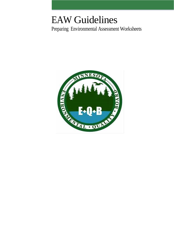# EAW Guidelines

Preparing Environmental Assessment Worksheets

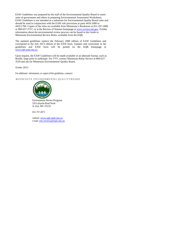EAW Guidelines was prepared by the staff of the Environmental Quality Board to assist units of government and others in preparing Environmental Assessment Worksheets. EAW Guidelines is not intended as a substitute for Environmental Quality Board rules and should be used in conjunction with the EAW rule provisions at parts 4410.1000 to 4410.1700. Copies of the rules are available from Minnesota's Bookstore at 651-297-3000 or 800-657-3757, or at the Revisor of Statutes homepage at www.revisor.mn.gov. Further information about the environmental review process can be found in the Guide to Minnesota Environmental Review Rules, available from the EQB.

The updated guidelines replace the February 2000 edition of EAW Guidelines and correspond to the July 2013 edition of the EAW form. Updates and corrections to the guidelines and EAW form will be posted on the EQB homepage at [www.eqb.state.mn.us.](http://www.eqb.state.mn.us./)

Upon request, the EAW Guidelines will be made available in an alternate format, such as Braille, large print or audiotape. For TTY, contact Minnesota Relay Service at 800-627- 3529 and ask for Minnesota Environmental Quality Board.

October 2013

For additional information, or copies of the guidelines, contact:

MINNESOTA ENVIRONMEN TA L Q U ALIT Y B O A R D



Environmental Review Program 520 Lafayette Road North St. Paul, MN 55155

651-757-2873

website[: www.eqb.state.mn.us](http://www.eqb.state.mn.us/) e-mail: [env.review@state.mn.us](mailto:env.review@state.mn.us)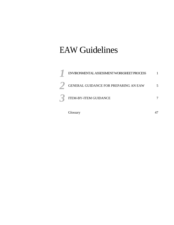# EAW Guidelines

| ENVIRONMENTAL ASSESSMENT WORKSHEET PROCESS |  |
|--------------------------------------------|--|
| GENERAL GUIDANCE FOR PREPARING AN EAW      |  |
| <b>ITEM-BY-ITEM GUIDANCE</b>               |  |
|                                            |  |

Glossary 47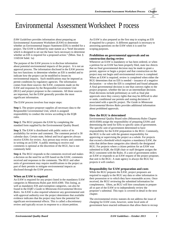## Environmental Assessment Worksheet P rocess

*EAW Guidelines* provides information about preparing an Environmental Assessment Worksheet (EAW) to determine whether an Environmental Impact Statement (EIS) is needed for a project. The EAW is defined by state statute as a "brief document which is designed to set out the basic facts necessary to determine whether an EIS is required for a proposed action." (Minn. Stat. § 116D.04 Subd. 1a)

The purpose of the EAW process is to disclose information about potential environmental impacts of the project. It is not an approval process. The information disclosed in the EAW process has two functions: to determine whether an EIS is needed and to indicate how the project can be modified to lessen its environmental impacts. Such modifications may be imposed as permit conditions by regulatory agencies. The information comes from three sources: the EAW, comments made on the EAW and responses by the Responsible Government Unit (RGU) and project proposer to the comments. All three sources are important, but the EAW generally provides the most significant information.

The EAW process involves four major steps:

**Step 1.** The project proposer supplies all necessary data to the Responsible Governmental Unit, which is assigned responsibility to conduct the review according to the EQB rules.

**Step 2.** The RGU prepares the EAW by completing the standard form supplied by the Environmental Quality Board.

**Step 3.** The EAW is distributed with public notice of its availability for review and comment. The comment period is 30 calendar days. Certain state, federal and local agencies always receive EAWs for review. Any person may review and comment in writing on an EAW. A public meeting to receive oral comments is optional at the discretion of the RGU, but is not commonly held.

**Step 4.** The RGU responds to the comments received and makes a decision on the need for an EIS based on the EAW, comments received and responses to the comments. The RGU and other units of government may require modifications to the project as part of their permits to mitigate environmental impacts as disclosed through the EAW process.

#### **When an EAW is required**

An EAW is required for any project listed in the mandatory EAW categories in Minnesota Rules part 4410.4300. This listing, as well as mandatory EIS and exemption categories, can also be found in the EQB's *Guide to Minnesota Environmental Review Rules*. An EAW is also required whenever any governmental unit with approval authority over the project determines that available evidence indicates that the project may have the potential for significant environmental effects. This is called a discretionary review and typically occurs in response to a citizen petition.

An EAW is also prepared as the first step in scoping an EIS if required for a project. A different approach is necessary to answering questions on the EAW when it is used for scoping purposes.

#### **Prohibition on governmental approvals and on construction during review**

Whenever an EAW is mandatory or has been ordered, or when a petition for an EAW has been properly filed, state law directs that no final governmental decision may be made to grant a permit, approve or begin a project and that construction on the project may not begin until environmental review is completed. When an EAW is required, review is completed when either the RGU determines that no EIS is needed – issuance of a negative declaration – or when the EIS is completed and found adequate. A final governmental decision is one that conveys rights to the project proposer, whether the last or an intermediate decision. Final decisions include preliminary as well as final plat approvals since they convey rights that may be difficult to alter or undo, conditional use permits and zoning decisions if associated with a specific project. *The Guide to Minnesota Environmental Review Rules* provides additional information about prohibited approvals.

#### **How the RGU is determined**

Environmental Quality Board rules (Minnesota Rules Chapter 4410.0500) assign the responsibility of preparing EAWs and determining the need for EISs to specific units of government. The specific unit of government determined to have responsibility for the EAW preparation is the RGU. Commonly, the RGU is the unit with the greatest responsibility for approving or supervising the project as a whole. For projects that exceed a threshold which requires a mandatory EAW, the rules that define these categories also identify the designated RGU. For projects where a citizen petition for an EAW was submitted to EQB, the EQB chair or staff designee assigns the RGU consistent with the Rules. If a unit of government orders an EAW or responds to an EAW request of the project proposer, that unit is the RGU. A state agency is always the RGU for projects it will conduct.

#### **Responsibility for EAW preparation and costs**

While the RGU prepares the EAW, project proposers are required to supply to the RGU any data or other information in their possession or to which they have reasonable access. Once received, the RGU reviewing the submitted information for completeness. Often, an RGU will hire consultants to prepare all or part of the EAW or to independently review the proposer's submittal. This topic is covered in detail in the next chapter.

The environmental review statutes do not address the issue of charging for EAW costs, however, some local units of government have enacted ordinances that allow them to recoup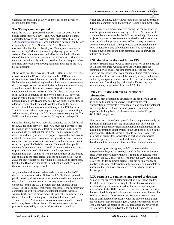expenses for preparing an EAW. In most cases, the proposer incurs most data costs.

#### **The 30-day comment period**

Once the RGU has prepared the EAW, it must be available for public comment for 30 days. The RGU must submit a signed, completed EAW to the Environmental Quality Board staff, (at [EQB.monitor@state.mn.us\)](mailto:EQB.monitor@state.mn.us), who publishes a notice of the EAW's availability in the *EQB Monitor.* The *EQB Monitor* is electronically distributed biweekly on Mondays and anyone can receive the *EQB Monitor* via email by signing up at the EQB website. The public comment period begins on the distribution date of the *EQB Monitor* containing the EAW notice. The 30-day comment period usually ends on a Wednesday at 4:30 p.m. unless indicated otherwise by the RGU; comments must reach the RGU by this deadline.

At the same time the EAW is sent to the EQB staff, the RGU must also distribute the EAW to all offices on the EQB's official distribution list. Available online from the EQB, the distribution list includes state, federal, regional and local units of government that have expertise and responsibilities in the environmental area, as well as several libraries that serve as repositories for environmental reports. EAWs may be distributed in electronic form, such as an emailed pdf file or on a mailed CD, however, anyone entitled to receive an EAW must be given a paper copy upon request. Many RGUs now post EAWs on their websites. In addition, copies should be made available locally for public review, at such locations as a local library or the RGU offices. The rules require that a copy be given to any person submitting a written request, although the RGU may charge a copying fee. The RGU should also make extra copies for requests by the public.

Once distributed, the RGU must also announce the availability of the EAW for public review. The RGU must send a press release to, and publish a notice in, at least one newspaper in the project area or an official website for the area. The press release and notice should briefly describe the project, explain that an EAW is available for review and comment, and give details such as when comments are due, a contact person name and address and how to obtain a copy of the EAW for review. If there will be a public meeting for oral comments, it should be announced in this notice or press release as well. The RGU should keep a record documenting that it complied with the requirement of distributing and publishing the press release and the published notice. As of 2012, the law requires not only that a press release be distributed, but that the RGU be responsible for publishing a notice in one of the aforementioned ways as well.

Anyone who wishes may review and comment on the EAW during the comment period. Unless the RGU holds an optional public meeting, all comments must be submitted in writing within the 30 days. Comments on an EAW may be submitted in electronic form if the RGU provides an email address in the EAW. The rules suggest that comments address: the accuracy and completeness of the information, potential impacts that may warrant further investigation before the project is commenced and the need for an EIS on the project. Without draft and final versions of the EAW, minor errors or omissions should be noted only if they bear on larger issues. If a reviewer feels that the process is impeded by a lack of information that could be

**11 Environmental Assessment Worksheet Process** Chapter<br>
12 Treasonably obtained, the reviewer should ask for the information during the comment period rather than issuing a comment letter.

All substantive comments received during the comment period must be given a written response by the RGU. The number of comment letters received by the RGU varies widely. For some projects only one or two letters are received, usually from state agencies. On other projects, dozens of letters may be received from concerned citizens. If the project is controversial and the RGU anticipates many public letters, it may be advantageous to hold a public meeting to hear comments and to answer the public's questions.

#### **RGU decision on the need for an EIS**

The rules require most RGUs to make a decision on the need for an EIS between three working days and 30 days after the comment period ends. This time frame applies to all RGUs where the decision is made by a council or board that only meets occasionally. If the decision will be made by a single individual such as by an agency commissioner, then the decision must be made within 15 working days, although a 15 working day extension may be requested from the EQB chair.

#### **Delay of EIS decision due to insufficient information**

The RGU may postpone its decision on the need for an EIS for up to 30 additional calendar days if it determines that "information necessary to a reasoned decision about the potential for, or significance of, one or more possible environmental impacts is lacking, but could be reasonably obtained" (part 4410.1700, subpart 2a).

This provision is intended to provide for a postponement only on the basis of important missing information that bears on the question of potential for significant environmental impacts. If the missing information is not critical to the EIS need decision in the opinion of the RGU, the decision should not be delayed. The information can be developed later as part of an appropriate permitting process. In its record of decision, the RGU can describe the information and how it will be obtained and used.

If the project proposer agrees, an RGU can extend the postponement beyond the 30 days stated in the rules. In unusual cases where important information is found to be lacking from the EAW, the RGU may simply withdraw the EAW, revise it and restart the 30-day comment period. This can normally only be justified if the project description information is so incomplete or inaccurate that reviewers are not given a fair chance to review the true project.

#### **RGU response to comments and record of decision**

As part of the process of determining if an EIS will be needed, the RGU must respond in writing to all substantive comments received during the comment period. Late comments may be responded to if the RGU chooses to do so. Each person or entity that submitted timely and substantive comments must be sent the RGU's response to those comments. Responses to comments may be distributed electronically, with the proviso that a paper copy must be supplied upon request. Usually the responses are sent along with the notice of the EIS need decision, however, in certain cases, it may be advisable to send out responses in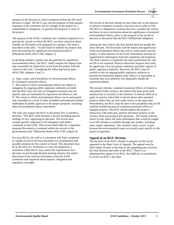advance of the decision to solicit comments before the EIS need decision is made. The RGU may ask the proposer to help prepare responses if the comments ask for changes in the project or a commitment to mitigation, or question the purpose or value of the project.

The purpose of the EAW, comments and comment responses is to provide the record on which the RGU can base a decision about whether an EIS needs to be prepared for a project. EIS need is described in the rules: "An EIS shall be ordered for projects that have the potential for significant environmental effects" (Minnesota Rules 4410.1700, subpart 1).

In deciding whether a project has the potential for significant environmental effects, the RGU "shall compare the impacts that may reasonably be expected to occur from the project with the criteria in this rule," considering the following factors (part 4410.1700, subparts 6 and 7):

A. Type, extent, and reversibility of environmental effects;

B. Cumulative potential effects;

C. The extent to which environmental effects are subject to mitigation by ongoing public regulatory authority provided that the RGU may rely only on mitigation measures that are specific and can reasonably be expected to be effective; and D. The extent to which environmental effects can be anticipated and controlled as a result of other available environmental studies undertaken by public agencies or the project proposer, including other Environmental Impact Statements.

The rules also require the RGU to document how it reached a decision: "The RGU shall maintain a record, including specific findings of fact, supporting its decision. The record must include specific responses to all substantive and timely comments on the EAW. This record shall either be a separately prepared document or contained within the records of the governmental unit" (Minnesota Rules 4410.1700, subpart 4).

For most RGUs, the staff or a consultant will draft a proposed or sample record of decision document for consideration and possible adoption by the council or board. This document may be in the form of a resolution or it may be adopted by a resolution. Other RGUs may satisfy the requirements for a decision record through detailed meeting minutes that reflect discussion of the relevant information from the EAW, comments and responses about impacts, mitigation and regulatory oversight.

The record of decision should do more than rely on the absence of adverse comments to justify a decision not to order an EIS. The RGU is obligated to examine the facts, consider the criteria and draw its own conclusions about the significance of potential environmental effects, and it is the purpose of the record of decision to document that the RGU fulfilled this obligation.

Among the four criteria, the first and the third are usually the most relevant. The first deals with the nature and significance of the environmental effects that will or could result from the project. It relies directly on the EAW information and may be augmented by information from the comments and responses. The third criterion is frequently the main justification for why an EIS is not required. Projects often have impacts that could be significant if not for permit conditions and other aspects of public regulatory authority. However, the RGU must be careful to rely on ongoing public regulatory authority to prevent environmental impacts only where is it reasonable to conclude that such authority will adequately handle the potential problem.

The second criterion, cumulative potential effects of related or anticipated further projects, has historically been given little attention but is currently in the forefront. It remains difficult to apply in practice when little is known about other potential projects unless they are also under review at the same time. Nevertheless, the RGU must be alert to the possibility that an EIS could be needed because of cumulative potential effects of multiple projects. The RGU should address the project's interaction with other past, present and future projects in the vicinity when answering EAW questions. The fourth criterion enters in only where the same information that would be sought in an EIS already is available through past studies, including other impact statements. This situation rarely occurs, in part because the environmental issues are usually quite specific to the project in question.

## **Appeal of an RGU decision**

The decision of the RGU whether to prepare an EIS can be appealed in the State Court of Appeals. The appeal must be filed within 30 days of the date on the appealing party receives the final decision and order of the RGU. There is no administrative appeal of an RGU; the EQB has no jurisdiction to review an RGU's decision.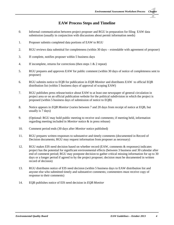## **EAW Process Steps and Timeline**

- 0. Informal communication between project proposer and RGU in preparation for filing EAW data submission (usually in conjunction with discussions about permit information needs)
- 1. Proposer submits completed data portions of EAW to RGU
- 2. RGU reviews data submittal for completeness (within 30 days extendable with agreement of proposer)
- 3. If complete, notifies proposer within 5 business days
- 4. If incomplete, returns for corrections (then steps 1 & 2 repeat)
- 5. RGU prepares and approves EAW for public comment (within 30 days of notice of completeness sent to proposer)
- 6. RGU submits notice to EQB for publication in *EQB Monitor* and distributes EAW to official EQB distribution list (within 5 business days of approval of scoping EAW)
- 7. RGU publishes press release/notice about EAW to at least one newspaper of general circulation in project area or on an official publication website for the political subdivision in which the project is proposed (within 5 business days of submission of notice to EQB)
- 8. Notice appears in *EQB Monitor* (varies between 7 and 20 days from receipt of notice at EQB, but usually is 7 days)
- 9. (Optional: RGU may hold public meeting to receive oral comments; if meeting held, information regarding meeting included in *Monitor* notice & in press release)
- 10. Comment period ends (30 days after *Monitor* notice published)
- 11. RGU prepares written responses to substantive and timely comments (documented in Record of Decision documents; RGU may request information from proposer as necessary)
- 12. RGU makes EIS need decision based on whether record (EAW, comments & responses) indicates project has the potential for significant environmental effects (between 3 business and 30 calendar after end of comment period; RGU may postpone decision to gather critical missing information for up to 30 days or a longer period if agreed to by the project proposer; decision must be documented in written record of decision)
- 13. RGU distributes notice of EIS need decision (within 5 business days to EAW distribution list and anyone else who submitted timely and substantive comments; commenters must receive copy of response to their comments)
- 14. EQB publishes notice of EIS need decision in *EQB Monitor*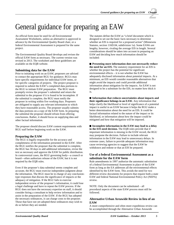**22** *hapter*

## General guidance for preparing an EAW

An official form must be used for all Environmental Assessment Worksheets, unless an alternative is approved in advance by the Environmental Quality Board chair, or a federal Environmental Assessment is prepared for the same project.

The Environmental Quality Board develops and revises the official EAW form as necessary. The current version was revised in 2013. The worksheet and these guidelines are available on the EQB website.

#### **Submitting data for the EAW**

Prior to initiating work on an EAW, proposers are advised to contact the appropriate RGU for guidance. RGUs may have specific requirements for individual EAW items, or for specific categories of projects. The project proposer is required to submit the EAW's completed data portions to the RGU to initiate EAW preparation. The RGU must promptly review the proposer's submittal and return the submittal to the proposer if it is found to be incomplete. If the submittal is complete, the RGU must notify the proposer in writing within five working days. Proposers are obligated to supply any relevant information to which they have reasonable access. The proposer usually submits the data portions on a copy of the EAW form. In preparing the submittal the proposer should refrain from offering conclusions. Rather, it should focus on supplying data and other factual information.

The proposer should discuss EAW content requirements with RGU staff before beginning work on the EAW.

#### **Preparing the EAW**

The RGU is legally responsible for the accuracy and completeness of the information presented in the EAW. After the RGU notifies the proposer that the submittal is complete, the RGU has 30 days to add additional information, revise the text as necessary and approve the EAW for public distribution. In controversial cases, the RGU governing body—a council or board—often authorizes release of the EAW, but it is not required by the EQB rules.

Even if the proposer's data submittal seems complete and accurate, the RGU must exercise independent judgment about the information. The RGU must be in charge of any conclusiontype responses that discuss the significance of impacts or the adequacy of mitigation. If the RGU fails to exercise independent review of the proposer's information, it could lose a legal challenge and have to repeat the EAW process. If the RGU does not have the necessary expertise on staff, it should consider hiring a consultant to help review information and to assist in the preparation of the EAW. If the RGU has adopted the necessary ordinances, it can charge costs to the proposer. Those that have not yet adopted these ordinances may wish to do so before they are needed.

The statutes define the EAW as "a brief document which is designed to set out the basic facts necessary to determine whether an EIS is required for a proposed action" (Minnesota Statutes, section 116D.04, subdivision 1a). Some EAWs are lengthy, however, rivaling the average EIS in length. Several considerations should be taken into account in preparing an EAW and deciding how much information should be included:

**Presenting more information does not necessarily reduce the need for an EIS.** The statutory requirement for an EIS is whether the project has the potential for significant environmental effects – it is not whether the EAW has adequately disclosed information about potential impacts. At a minimum, an EIS would consider reasonable alternatives that might avoid the impacts and could provide additional information about mitigation for the impacts. An EAW is not designed to be a substitute for the EIS, no matter how thick it is.

**Information that reduces uncertainties about impacts and their significance belongs in an EAW.** Any information that helps clarify the likelihood or level of significance of a potential impact is useful in an EAW because it helps the RGU make a better determination about the need for an EIS. It could be factual information related to the nature of the impact or its likelihood, or information about how the impact could be mitigated and how that mitigation will be imposed.

**Incomplete information in the EAW may lead to a delay in the EIS need decision.** The EQB rules provide that if important information is missing in the EAW record, the RGU may postpone the decision. Failure to include relevant information in the EAW may lead to unnecessary delays. In extreme cases, failure to provide adequate information may cause reviewing agencies to suggest that the EAW be withdrawn and redone or that an EIS be prepared.

#### **Use of a federal Environmental Assessment as a substitute for the EAW form**

Rule amendments in 1997 authorize the automatic substitution of a federal Environmental Assessment in place of the EAW form as long as the EA addresses all the environmental effects identified by the EAW form. This avoids the need for two different review documents for projects that require both a state EAW and federal National Environmental Policy Act (NEPA) review.

NOTE: Only the document can be substituted – all procedural aspects of the state EAW process must still be followed.

#### **Alternative Urban Areawide Review in lieu of an EAW**

A more comprehensive and often more expeditious review can be accomplished through the Alternative Urban Areawide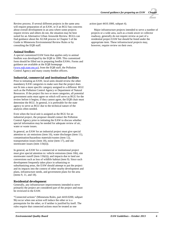**22** *hapter*

Review process. If several different projects in the same area will require preparation of an EAW, or if an RGU has concerns about overall development in an area where some projects require review and others do not, the situation may be best suited for an Alternative Urban Areawide Review. RGUs can find guidance about the AUAR process in Chapter 5 of the Guide to Minnesota Environmental Review Rules or by consulting the EQB staff.

#### **Animal feedlots**

A special customized EAW form that applies only to animal feedlots was developed by the EQB in 1999. This customized form should be filled out in preparing feedlot EAWs. Forms and guidance are available at the EQB homepage [\(www.eqb.state.mn.us\)](http://www.eqb.state.mn.us/), from the EQB staff, the Pollution Control Agency and many county feedlot officers.

#### **Industrial, commercial and institutional facilities**

Prior to initiating an EAW, local units should review the other mandatory EAW categories to make sure that the project does not fit into a more specific category assigned to a different RGU such as the Pollution Control Agency or Department of Natural Resources. If the project fits two or more categories, all potential government units must agree on which will serve as RGU for the review before it begins; if they cannot agree, the EQB chair must determine the RGU. In general, it is preferable for the state agency to serve as RGU due to the technical nature of the analysis often needed.

Even when the local unit is assigned as the RGU for an industrial project, the proposer should contact the Pollution Control Agency prior to initiating the EAW to discuss whether special information may be needed for adequate review of air, water or waste issues.

In general, an EAW for an industrial project must give special attention to: air emissions (item 16), water discharges (item 11), contamination/hazardous materials/wastes (item 12), transportation issues (item 18), noise (item 17), and site stormwater issues (item 11b(ii)).

In general, an EAW for a commercial or institutional project must give special attention to: vehicle emissions (item 16b), site stormwater runoff (item 11b(ii)), and impacts due to land use conversions such as loss of wildlife habitat (item 9). Since such development frequently takes place in urbanizing or suburbanizing areas, the EAW should attempt to put the project and its impacts into the context of other nearby development and plans, infrastructure needs, and government plans for the area (items 9, 11, and 18).

#### **Residential development**

Generally, any infrastructure improvements intended to serve primarily the project are considered part of the project and must be reviewed in the EAW.

"Connected actions" (Minnesota Rules, part 4410.0200, subpart 9b) occur when one action will induce the other or is a prerequisite for the other, or if neither is justified by itself. The rules require that connected actions must be treated as one

#### action (part 4410.1000, subpart 4).

Major infrastructure projects intended to serve a number of projects or a wide area, such as a trunk sewer or collector roadway, generally do not require review as part of a residential project EAW but should be listed under the appropriate item. These infrastructural projects may, however, require review on their own.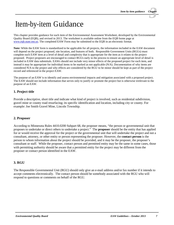## Item-by-item Guidance

This chapter provides guidance for each item of the Environmental Assessment Worksheet, developed by the Environmental Quality Board (EQB), and revised in 2013. The worksheet is available online from the EQB home page at [www.eqb.state.mn.us.](http://www.eqb.state.mn.us/) The completed EAW Form may be submitted to the EQB in an electronic format.

**Note:** While the EAW form is standardized to be applicable for all projects, the information included in the EAW document will depend on the project proposed, site location, and features of both. Responsible Government Units (RGUs) must complete each EAW item at a level of detail and complexity that is appropriate for the item as it relates to the project proposed. Project proposers are encouraged to contact RGUs early in the process to ensure an appropriate level of detail is included in EAW data submittals. EAWs should not include very minor effects of the proposed project for each item, and instead it may be appropriate for individual items to be marked as not applicable (N/A). Documentation of why items are considered N/A to the project and why effects are considered by the RGU to be minor should be kept as part of the project record and referenced in the project EAW.

The purpose of an EAW is to identify and assess environmental impacts and mitigation associated with a proposed project. The EAW should not include information that serves only to justify or promote the project but is otherwise irrelevant to the purpose of an EAW.

## **1. Project title**

Provide a descriptive, short title and indicate what kind of project is involved, such as residential subdivision, gravel mine or county road resurfacing; its specific identification and location, including city or county. For example: Joe Smith Gravel Mine, Lincoln Township.

## **2. Proposer**

According to Minnesota Rules 4410.0200 Subpart 68, the proposer means, "the person or governmental unit that proposes to undertake or direct others to undertake a project." The **proposer** should be the entity that has applied for or would receive the approval for the project or the governmental unit that will undertake the project and not a consultant, attorney, or other entity or person representing the proposer. However, the **contact person** is the person to whom information about the project should be provided, and it may be the proposer, the proposer's consultant or staff. While the proposer, contact person and permitted entity may be the same in some cases, those with permitting authority should be aware that a permitted entity for the project may be different from the proposer or contact person identified in the EAW.

## **3. RGU**

The Responsible Governmental Unit (RGU) should only give an e-mail address and/or fax number if it intends to accept comments electronically. The contact person should be somebody associated with the RGU who will respond to questions or comments on behalf of the RGU.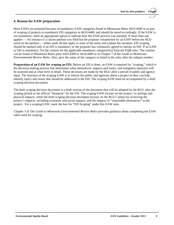## **4. Reason for EAW preparation**

Most EAWs are prepared because of mandatory EAW categories found in Minnesota Rules 4410.4300 or as part of scoping of projects in mandatory EIS categories in 4410.4400, and should be noted accordingly. If the EAW is not mandatory, mark an appropriate option to indicate how the EAW process was initiated. If more than one applies — for instance if a citizen petition was filed but the proposer volunteered for an EAW before the RGU acted on the petition — either mark all that apply or none of the items and explain the situation. EIS scoping should be marked only if an EIS is mandatory or the proposer has voluntarily agreed to initiate an EIS. If an EAW or EIS is mandatory, list the citation for the applicable mandatory category(ies) from the EQB rules. The citation can be found in Minnesota Rules parts 4410.4300 or 4410.4400 or in Chapter 7 of the *Guide to Minnesota Environmental Review Rules*. Also, give the name of the category as listed in the rules after the subpart number.

**Preparation of an EAW for scoping an EIS:** Before an EIS is done, an EAW is required for "scoping," which is the decision-making process that determines what alternatives, impacts and issues, and mitigation measures will be assessed and at what level of detail. These decisions are made by the RGU after a period of public and agency input. The function of the scoping EAW is to inform the public and agencies about a project so they can help identify topics and issues that should be addressed in the EIS. The scoping EAW must be accompanied by a draft scoping decision document.

The draft scoping decision document is a draft version of the document that will be adopted by the RGU after the scoping period as the official "blueprint" for the EIS. The scoping EAW focuses on the project, its settings and physical impacts, while the draft scoping decision document focuses on the RGU's plans for reviewing the project's impacts, including economic and social impacts, and the impacts of "reasonable alternatives" to the project. For a scoping EAW, mark the box for "EIS Scoping" under this EAW item.

Chapter 5 of *The Guide to Minnesota Environmental Review Rules* provides guidance about completing the EAW when used for scoping.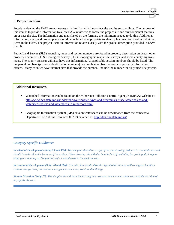## **5. Project location**

People reviewing the EAW are not necessarily familiar with the project site and its surroundings. The purpose of this item is to provide information to allow EAW reviewers to locate the project site and environmental features on or near the site. The information and maps listed on the form are the minimum needed to do this. Additional information, maps and project plans should be included as appropriate to identify features discussed in individual items in the EAW. The project location information relates closely with the project description provided in EAW Item 6.

Public Land Survey (PLS) township, range and section numbers are found in property description on deeds, other property documents, U.S. Geological Survey (USGS) topographic maps, site surveys, and some county highway maps. The county assessor will also have this information. All applicable section numbers should be listed. The tax parcel numbers (property identification numbers) can be obtained from assessor or property information offices. Many counties have internet sites that provide the number. Include the number for all project site parcels.

## **Additional Resources:**

- Watershed information can be found on the Minnesota Pollution Control Agency's (MPCA) website at: [http://www.pca.state.mn.us/index.php/water/water-types-and-programs/surface-water/basins-and](http://www.pca.state.mn.us/index.php/water/water-types-and-programs/surface-water/basins-and-watersheds/basins-and-watersheds-in-minnesota.html)[watersheds/basins-and-watersheds-in-minnesota.html](http://www.pca.state.mn.us/index.php/water/water-types-and-programs/surface-water/basins-and-watersheds/basins-and-watersheds-in-minnesota.html)
- Geographic Information System (GIS) data on watersheds can be downloaded from the Minnesota Department of Natural Resources (DNR) data deli at:<http://deli.dnr.state.mn.us/>

## *Category Specific Guidance:*

*Residential Developments (Subp 19 and 19a): The site plan should be a copy of the plat drawing, reduced to a suitable size and should include all major features of the project. Other drawings should also be attached, if available, for grading, drainage or other plans relating to changes the project would make to the environment.*

*Recreational Development (Subp 20 and 20a): The site plan should show the layout of all sites as well as support facilities such as sewage lines, stormwater management structures, roads and buildings.*

*Stream Diversion (Subp 26): The site plan should show the existing and proposed new channel alignments and the location of any spoils disposal.*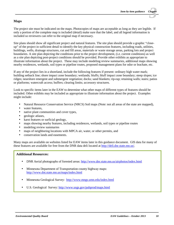## **Maps**

The project site must be indicated on the maps. Photocopies of maps are acceptable as long as they are legible. If only a portion of the complete map is included (detail) make sure that the label, and all legend information is included so reviewers can refer to the original map if necessary.

Site plans should show all significant project and natural features. The site plan should provide a graphic "closeup" of the project in sufficient detail to identify the key physical construction features, including roads, utilities, buildings, wells, drainage structures, cut and fill areas, materials or waste storage areas, parking lots and project boundaries. A site plan depicting the conditions prior to the project development, (i.e. current conditions) as well as a site plan depicting post-project conditions should be provided. Provide other exhibits as appropriate to illustrate information about the project. These may include modeling review summaries, additional maps showing nearby residences, wetlands, soil types or pipeline routes, proposed management plans for odor or leachate, etc.

If any of the project lies in a shoreland, include the following features if present: ordinary high water mark; building setback line; shore impact zone boundary; wetlands; bluffs; bluff impact zone boundary; steep slopes; ice ridges; nearshore emergent and submergent vegetation; docks; sand blankets; rip-rap; retaining walls; stairs; patios or platforms; watercraft access; buffers; clearing limits; accessory structures.

Look to specific items later in the EAW to determine what other maps of different types of features should be included. Other exhibits may be included as appropriate to illustrate information about the project. Examples might include:

- Natural Resource Conservation Service (NRCS) Soil maps (Note: not all areas of the state are mapped),
- water features,
- native plant communities and cover types,
- geologic atlases,  $\sim$
- karst features or surficial geology,
- maps showing nearby features, including residences, wetlands, soil types or pipeline routes  $\sim$
- modeling review summaries
- maps of neighboring locations with MPCA air, water, or other permits, and ä,
- conservation lands and easements.

Many maps are available on websites listed for EAW items later in this guidance document. GIS data for many of these features are available for free from the DNR data deli located at [http://deli.dnr.state.mn.us/.](http://deli.dnr.state.mn.us/)

## **Additional Resources:**

- DNR Aerial photographs of forested areas:<http://www.dnr.state.mn.us/airphotos/index.html>
- t, Minnesota Department of Transportation county highway maps: <http://www.dot.state.mn.us/maps/index.html>
- Minnesota Geological Survey: <http://www.mngs.umn.edu/index.html>
- U.S. Geological Survey:<http://www.usgs.gov/pubprod/maps.html>ä,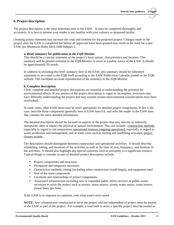## **6. Project description**

The project description is the most important item in the EAW. It must be completed thoroughly and accurately. It is best to assume your reader is not familiar with your industry or proposed facility.

Omitting project elements may increase the costs and timeline for the proposed project. Changes made to the project after the EAW is completed but before all approvals have been granted may result in the need for a new EAW, per Minnesota Rules 4410.1000 Subpart 5.

#### **a. Brief summary for publication in the** *EQB Monitor*

This should be a concise statement of the project's basic nature, characteristics and location. This summary will be printed verbatim in the *EQB Monitor* to serve as a public notice of the EAW. It should be approximately 50 words.

In addition to including this brief summary here in the EAW, this summary should be submitted separately in an e-mail to the EQB Staff according to the EAW Publication Calendar posted on the EQB website. This facilitates accurate reproduction of the summary in the *EQB Monitor*.

#### **b. Complete description**

Clear, complete and detailed project descriptions are essential to understanding the potential for environmental effects. If any portion of the project description is vague or incomplete, reviewers may have difficulty understanding the project and may assume certain environmental considerations have been overlooked.

In some cases, other EAW items may be more appropriate for detailed project components. If this is the case, describe those components generally here in EAW Item 6.b. and refer the reader to the EAW item that contains the more detailed information.

The detailed description should be focused on aspects of the project that may directly or indirectly manipulate, alter or impact the physical or natural environment. This can include: construction methods, especially in regard to site preparation; operational features (ongoing operations), especially in regard to waste production and management; and in some cases such as mining and landfilling activities, project closure actions.

The description should distinguish between construction and operational activities. It should describe scheduling, timing, and locations of the activities as well as the time of year, frequency, and duration of the activities. It should also highlight any special concerns, such as proximity to a significant resource. Typical things to consider as part of detailed project description include:

- Project components and structures
- Permanent and temporary structures
- Construction methods, timing (including when construction would begin), and equipment used
- Size of the main components
- Locations and relationships of project components
- Associated infrastructure including new or expanded public utility services or public works necessary to serve the project such as sewers, storm sewers, streets, water mains, water towers, power lines, gas lines,

If the EAW is in response to a petition, note what issues were raised.

**NOTE:** Any infrastructure constructed to serve the project and not independent of project must be treated in the EAW as part of the project. For example, a road built to serve a specific project must be treated as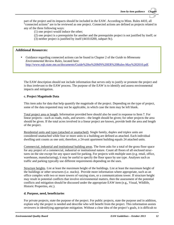part of the project and its impacts should be included in the EAW. According to Minn. Rules 4410, all "connected actions" are to be reviewed as one project. Connected actions are defined as projects related in any of the three following ways:

- (1) one project would induce the other;
- (2) one project is a prerequisite for another and the prerequisite project is not justified by itself; or
- (3) neither project is justified by itself (4410.0200, subpart 9c).

## **Additional Resources:**

Guidance regarding connected actions can be found in Chapter 2 of the *Guide to Minnesota Environmental Review Rules*, located here: [http://www.eqb.state.mn.us/documents/Guide%20to%20MN%20ER%20Rules-May%202010.pdf.](http://www.eqb.state.mn.us/documents/Guide%20to%20MN%20ER%20Rules-May%202010.pdf)

The EAW description should not include information that serves only to justify or promote the project and is thus irrelevant to the EAW process. The purpose of the EAW is to identify and assess environmental impacts and mitigation.

#### **c. Project Magnitude Data**

This item asks for data that help quantify the magnitude of the project. Depending on the type of project, some of the data requested may not be applicable, in which case the item may be left blank.

Total project area or length. Information provided here should also be used in response to Item 7. For linear projects—such as roads, trails, and sewers—the length should be given; for other projects the area should be given. If the total acres involved in a linear project are known, provide both the area and length of the project.

Residential units and types (attached or unattached). Single family, duplex and triplex units are considered unattached while four or more units to a building are defined as attached. Each individual dwelling unit counts as one unit; therefore, a 24-unit apartment building equals 24 attached units.

Commercial, industrial and institutional building areas. The form asks for a total of the gross floor space for any project of a commercial, industrial or institutional nature. Count all floors of all enclosed structures on the site except for any space used for parking. For projects with multiple uses (e.g. retail, office, warehouse, manufacturing), it may be useful to specify the floor space by use type. Analyses such as traffic and parking typically use different requirements depending on the uses.

Structure heights. List at least the maximum height of the buildings. List at least the maximum height of the buildings or other structures (i.e. stacks). Provide more information where appropriate, such as an office complex with two or more towers of varying sizes, or a communications tower. If structure height may result in potential conflicts that involve environmental matters, then the assessment of the potential conflicts and mitigation should be discussed under the appropriate EAW item (e.g., Visual, Wildlife, Historic Properties, etc.).

#### **d. Purpose, need, beneficiaries**

For private projects, state the purpose of the project. For public projects, state the purpose and in addition, explain why the project is needed and describe who will benefit from the project. This information assists reviewers in identifying appropriate mitigation. Without a clear idea of the project's goals, it is difficult to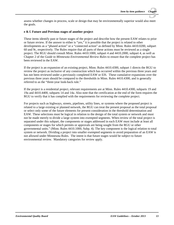assess whether changes in process, scale or design that may be environmentally superior would also meet the goals.

#### **e & f. Future and Previous stages of another project**

These items identify past or future stages of the project and describe how the present EAW relates to prior or future review. If the answer to either is "yes," it is possible that the project is related to other developments as a "phased action" or a "connected action" as defined by Minn. Rules 4410.0200, subpart 60 and 9c, respectively. The Rules require that all parts of these actions must be reviewed as a single project. The RGU should consult Minn. Rules 4410.1000, subpart 4 and 4410.2000, subpart 4, as well as Chapter 2 of the *Guide to Minnesota Environmental Review Rules* to ensure that the complete project has been reviewed in the EAW.

If the project is an expansion of an existing project, Minn. Rules 4410.4300, subpart 1 directs the RGU to review the project as inclusive of any construction which has occurred within the previous three years and has not been reviewed under a previously completed EAW or EIS. These cumulative expansions over the previous three years should be compared to the thresholds in Minn. Rules 4410.4300, and is generally referred to as the "three-year look-back rule."

If the project is a residential project, relevant requirements are at Minn. Rules 4410.4300, subparts 19 and 19a and 4410.4400, subparts 14 and 14a. Also note that the certification at the end of the form requires the RGU to verify that it has complied with the requirements for reviewing the complete project.

For projects such as highways, streets, pipelines, utility lines, or systems where the proposed project is related to a large existing or planned network, the RGU can treat the present proposal as the total proposal or select only some of the future elements for present consideration in the threshold determination and EAW. These selections must be logical in relation to the design of the total system or network and must not be made merely to divide a large system into exempted segments. When review of the total project is separated under this subpart, the components or stages addressed in each EAW must include at least all components or stages for which permits or approvals are being sought from the RGU or other governmental units." (Minn. Rules 4410.1000, Subp. 4). The key component is the logical relation to total system or network. Dividing a project into smaller exempted segments to avoid preparation of an EAW is not allowed under Minnesota Rules. The intent is that future stages would be subject to future environmental review. Mandatory categories for review apply.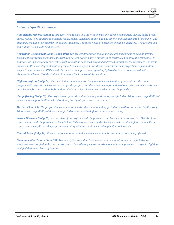## *Category Specific Guidance:*

*Non-metallic Mineral Mining (Subp 12): The site plan and description must include the boundaries, depths, buffer areas, access roads, fixed equipment locations, wells, ponds, discharge points, and any other significant features of the mine. The plan and schedule of development should be indicated. Proposed hours of operation should be indicated. The reclamation and end use plan should be discussed.*

*Residential Development (Subp 19 and 19a): The project description should include any infrastructure such as streets, permanent stormwater management structures, sewers, water mains or utility lines constructed to serve the residences. In addition, the impacts of any such infrastructure must be described here and addressed throughout the worksheet. The items Future and Previous stages of another project frequently apply to residential projects because projects are often built in stages. The proposer and RGU should be sure that rule provisions regarding "phased actions" are complied with as discussed in Chapter 2 of the Guide to Minnesota Environmental Review Rules.* 

*Highway projects (Subp 22): The description should focus on the physical characteristics of the project rather than programmatic aspects, such as the reasons for the project, and should include information about construction methods and the schedule for construction. Information relating to other alternatives considered can be provided.*

*Barge fleeting (Subp 23): The project description should include any onshore support facilities. Address the compatibility of any onshore support facilities with shoreland, flood plain, or scenic river zoning.*

*Marinas (Subp 25): The project description must include all onshore ancillary facilities as well as the marina facility itself. Address the compatibility of the onshore facilities with shoreland, flood plain, or river zoning.*

*Stream Diversion (Subp 26): An overview of the project should be presented and how it will be constructed. Details of the construction should be presented at item 11.b.iv. If the stream is surrounded by designated shoreland, flood plain, wild or scenic river zones, discuss the project compatibility with the requirements of applicable zoning codes.*

*Natural Areas (Subp 30): Ensure the compatibility with the management plan for the natural area being affected.*

*Communication Towers (Subp 33): The description should include information on guy wires, ancillary facilities such as equipment sheds or fuel tanks, and access roads. Describe any measures taken to minimize impacts such as special lighting, modified design or choice of location.*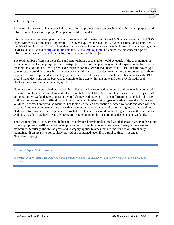## **7. Cover types**

Estimates of the acres of land cover before and after the project should be provided. One important purpose of this information is to assess the project's impact on wildlife habitat.

Site surveys or recent aerial photos are good sources of information. Additional GIS data sources include USGS Upper Midwest Gap Analysis Program (GAP) Cover Type, Minnesota Land Cover Classification System, and Land-Sat Land Use Land Cover. These data sources, as well as others are all available from the data catalog at the DNR Data Deli located at [http://deli.dnr.state.mn.us/data\\_catalog.html.](http://deli.dnr.state.mn.us/data_catalog.html) Of course, the most useful type of information to use will depend on the location and nature of the project.

The total number of acres in the Before and After columns of the table should be equal. If the total number of acres is not equal for the pre-project and post-project conditions, explain why not in the space on the form below the table. In addition, be sure to provide descriptions for any acres listed under "other." Because the cover type categories are broad, it is possible that cover types within a specific project may fall into two categories or there may be two cover types under one category that would seem to warrant a distinction. If this is the case the RGU should make decisions on the best way to complete the acres within the table and then provide additional clarification below the table in paragraph form.

Note that the cover type table does not require a distinction between wetland types, but there may be very good reasons for including this supplemental information below the table. One example is a case where a project isn't going to remove wetland acres, but rather would change wetland type. This is information that is helpful to the RGU and reviewers, but is difficult to capture in the table. In identifying types of wetlands, use the US Fish and Wildlife Service's Circular 39 guidelines. The table also makes a distinction between wetlands and deep water or streams. Deep water and streams are areas that have more than two meters of water during low water conditions. Dedicated stormwater detention ponds constructed in upland areas should not be designated as wetlands. Natural wetland areas that may have been used for stormwater storage in the past are to be designated as wetlands.

The "wooded/forest" category should be applied only to relatively undisturbed wooded areas. "Lawn/landscaping" is the appropriate classification for developments constructed in wooded areas, even if many of the trees are maintained. Similarly, the "brush/grassland" category applies to areas that are undisturbed or infrequently maintained. If an area is to be regularly mowed or maintained, even if in a rural setting, list it under "lawn/landscaping."

## *Category Specific Guidance:*

*Historical Places (Subp 31): Describe if any demolition work will disturb or impact any vegetated areas around the property.*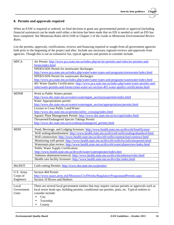## **8. Permits and approvals required**

When an EAW is required or ordered, no final decision to grant any governmental permit or approval (including financial assistance) can be made until either a decision has been made that no EIS is needed or until an EIS has been completed. See Minnesota Rules 4410.3100 or Chapter 2 of the *Guide to Minnesota Environmental Review Rules*.

List the permits, approvals, certifications, reviews and financing required or sought from all government agencies both prior to the beginning of the project and after. Include any necessary regional reviews and approvals from agencies. Though this is not an exhaustive list, typical agencies and permits to consider include:

| <b>MPCA</b>                                                                               | Air Permit: http://www.pca.state.mn.us/index.php/air/air-permits-and-rules/air-permits-and-                           |  |  |  |  |  |
|-------------------------------------------------------------------------------------------|-----------------------------------------------------------------------------------------------------------------------|--|--|--|--|--|
|                                                                                           | forms/index.html                                                                                                      |  |  |  |  |  |
|                                                                                           | NPDES/SDS Permit for stormwater discharges:                                                                           |  |  |  |  |  |
|                                                                                           | http://www.pca.state.mn.us/index.php/water/water-types-and-programs/stormwater/index.html                             |  |  |  |  |  |
|                                                                                           | NPDES/SDS Permit for wastewater discharges:                                                                           |  |  |  |  |  |
|                                                                                           | http://www.pca.state.mn.us/index.php/water/water-types-and-programs/wastewater/index.html                             |  |  |  |  |  |
|                                                                                           | 401 Water Quality Certification: http://www.pca.state.mn.us/index.php/water/water-permits-and-                        |  |  |  |  |  |
|                                                                                           | rules/water-permits-and-forms/clean-water-act-section-401-water-quality-certifications.html                           |  |  |  |  |  |
| <b>MDNR</b>                                                                               | Work in Public Waters permit:                                                                                         |  |  |  |  |  |
|                                                                                           | http://www.dnr.state.mn.us/waters/watermgmt_section/pwpermits/index.html                                              |  |  |  |  |  |
|                                                                                           | Water Appropriations permit:                                                                                          |  |  |  |  |  |
|                                                                                           | http://www.dnr.state.mn.us/waters/watermgmt_section/appropriations/permits.html                                       |  |  |  |  |  |
|                                                                                           | License to Cross Public Land/Water:                                                                                   |  |  |  |  |  |
|                                                                                           | http://www.dnr.state.mn.us/permits/utility_crossing/index.html                                                        |  |  |  |  |  |
|                                                                                           | Aquatic Plant Management Permit: http://www.dnr.state.mn.us/eco/apm/index.html                                        |  |  |  |  |  |
|                                                                                           | Threatened/Endangered Species Takings Permit:                                                                         |  |  |  |  |  |
|                                                                                           | http://www.dnr.state.mn.us/eco/nhnrp/endangered_permits.html                                                          |  |  |  |  |  |
|                                                                                           |                                                                                                                       |  |  |  |  |  |
| <b>MDH</b>                                                                                | Food, Beverage, and Lodging licensure: http://www.health.state.mn.us/divs/eh/food/license/                            |  |  |  |  |  |
|                                                                                           | Well sealing/abandonment: http://www.health.state.mn.us/divs/eh/wells/sealing/abandwel.html                           |  |  |  |  |  |
|                                                                                           | Well construction: http://www.health.state.mn.us/divs/eh/wells/construction/construct.html                            |  |  |  |  |  |
| Monitoring well permit: http://www.health.state.mn.us/divs/eh/wells/lwcinfo/mwpermit.html |                                                                                                                       |  |  |  |  |  |
|                                                                                           | Watermain plan review: http://www.health.state.mn.us/divs/eh/water/planreview/index.html                              |  |  |  |  |  |
|                                                                                           | Public Water Supply Certification:                                                                                    |  |  |  |  |  |
|                                                                                           | http://www.health.state.mn.us/divs/eh/water/wateroperator/index.htm                                                   |  |  |  |  |  |
|                                                                                           | Asbestos abatement/removal: http://www.health.state.mn.us/divs/eh/asbestos/rules.html                                 |  |  |  |  |  |
|                                                                                           | Health care facility licensure: http://www.health.state.mn.us/divs/fpc/index.html                                     |  |  |  |  |  |
| Mn/DOT                                                                                    | Curb-cutting Permits: http://www.dot.state.mn.us/permits/                                                             |  |  |  |  |  |
|                                                                                           |                                                                                                                       |  |  |  |  |  |
| U.S. Army                                                                                 | Section 404 Permit:                                                                                                   |  |  |  |  |  |
| Corps of                                                                                  | http://www.usace.army.mil/Missions/CivilWorks/RegulatoryProgramandPermits.aspx                                        |  |  |  |  |  |
| Engineers                                                                                 | Section 10 Rivers and Harbors                                                                                         |  |  |  |  |  |
| Local                                                                                     | There are several local government entities that may require various permits or approvals such as                     |  |  |  |  |  |
| Government                                                                                |                                                                                                                       |  |  |  |  |  |
| Units                                                                                     | local sewer hook-ups, building permits, conditional use permits, plats, etc. Typical entities to<br>consider include: |  |  |  |  |  |
|                                                                                           | City<br>$\blacksquare$                                                                                                |  |  |  |  |  |
|                                                                                           |                                                                                                                       |  |  |  |  |  |
|                                                                                           | Township                                                                                                              |  |  |  |  |  |
|                                                                                           | County                                                                                                                |  |  |  |  |  |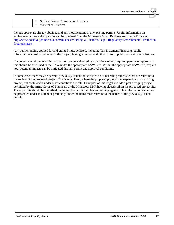|                                       | Item-by-item guidance Chapter |  |
|---------------------------------------|-------------------------------|--|
|                                       |                               |  |
| Soil and Water Conservation Districts |                               |  |
| <b>Watershed Districts</b>            |                               |  |

Include approvals already obtained and any modifications of any existing permits. Useful information on environmental protection permits can be obtained from the Minnesota Small Business Assistance Office at: http://www.positivelyminnesota.com/Business/Starting\_a\_Business/Legal\_Regulatory/Environmental\_Protection [Programs.aspx](http://www.positivelyminnesota.com/Business/Starting_a_Business/Legal_Regulatory/Environmental_Protection_Programs.aspx)

Any public funding applied for and granted must be listed, including Tax Increment Financing, public infrastructure constructed to assist the project, bond guarantees and other forms of public assistance or subsidies.

If a potential environmental impact will or can be addressed by conditions of any required permits or approvals, this should be discussed in the EAW under the appropriate EAW item. Within the appropriate EAW item, explain how potential impacts can be mitigated through permit and approval conditions.

In some cases there may be permits previously issued for activities on or near the project site that are relevant to the review of the proposed project. This is most likely where the proposed project is an expansion of an existing project, but could occur under other conditions as well. Examples of this might include a past dredging project permitted by the Army Corps of Engineers or the Minnesota DNR having placed soil on the proposed project site. These permits should be identified, including the permit number and issuing agency. This information can either be presented under this item or preferably under the items most relevant to the nature of the previously issued permit.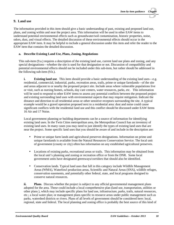## **9. Land use**

The information provided in this item should give a basic understanding of past, existing and proposed land use, plans, and zoning within and near the project area. This information will be used in other EAW items to understand potential environmental effects such as groundwater/soil contamination, historic properties, noise, odors, dust, and visual effects. The detailed discussion of these environmental effects should occur in the appropriate EAW item. It may be helpful to include a general discussion under this item and refer the reader to the EAW item that contains the detailed discussion.

#### **a. Describe Existing Land Use, Plans, Zoning, Regulations**

This sub-item (9.a.) requires a description of the existing land use, current land use plans and zoning, and any special designations—whether the site is used for that designation or not. Discussion of compatibility and potential environmental effects should not be included under this sub-item, but rather should be addressed in the following sub-item (9.b.).

**i. Existing land use**. This item should provide a basic understanding of the existing land uses—e.g. residential, commercial, industrial, parks, recreation areas, trails, prime or unique farmlands—of the site and areas adjacent to or nearby the proposed project site. Include areas where vulnerable populations live or visit, such as nursing homes, schools, day care centers, water resources, parks, etc. This information will be used to respond to other EAW items to assess any potential conflicts between the proposed project and existing surrounding land uses with environmental aspects that may require mitigation. Indicate the distance and direction to all residential areas or other sensitive receptors surrounding the site. A typical example would be a gravel operation proposed next to a residential area: dust and noise could cause significant conflicts with the residential land use and this conflict should be discussed under EAW Items 16 Air and 17 Noise.

Local government planning or building departments can be a source of information for identifying existing land uses. In the Twin Cities metropolitan area, the Metropolitan Council has an inventory of existing land uses. In many cases you may need to just identify the types of existing land uses that are near the project. Some specific land uses that you should be aware of and include in the description are:

- $\mathbf{r}$ Prime or unique farm lands and agricultural preserves designations. Information on prime and unique farmlands is available from the Natural Resources Conservation Service. The local unit of government (county or city) often has information on any established agricultural preserves.
- Locations of existing parks, recreational areas or trails. This information may be obtained from ÷, the local unit's planning and zoning or recreation office or from the DNR. Some local government units have designated greenways/corridors that should also be identified.
- $\blacksquare$ Conservation lands. Typical land uses that fall in this category include Wildlife Management Areas (WMA), Waterfowl production areas, Scientific and Natural Areas (SNA), wildlife refuges, conservation easements, and potentially other federal, state, and local programs designed to conserve natural resources.

**ii. Plans**. Discuss whether the project is subject to any official governmental management plans adopted for the area. These could include a local comprehensive plan (land use, transportation, utilities or other plans ), which may include specific plans for land use, infrastructure, parks, trails, natural resources, etc.; a local water plan; or management plans specific to resource areas under public management such as parks, watershed districts or rivers. Plans of all levels of government should be considered here: local, regional, state and federal. The local planning and zoning office is probably the best source of this kind of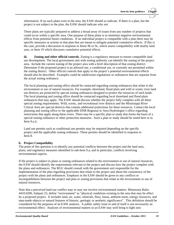information. If no such plans exist in the area, the EAW should so indicate. If there is a plan, but the project is not subject to the plan, the EAW should indicate why not.

These plans are typically prepared to address a broad array of issues from any number of projects that could occur within a specific area. One purpose of these plans is to minimize negative environmental effects from potential future conditions. If an individual project is compatible with a plan there may be specific measures or actions in that plan that are meant to mitigate potential cumulative effects. If this is the case, provide a discussion in response to Items 9b or 9c, which assess compatibility with nearby land uses, or Item 19 which discusses cumulative potential effects.

**iii. Zoning and other official controls.** Zoning is a regulatory measure to ensure compatible land use development. The local government unit with zoning authority can identify the zoning of the project area. Include the current zoning of the project area with a brief description of that zoning district. Determine if the proposed project is an allowed use, a conditional use, or currently not permitted within the zoning district. Other official controls that apply to the project's potential environmental effects should also be described. Examples could be subdivision regulations or ordinances that are separate from the actual zoning ordinance.

The local planning and zoning office should be contacted regarding zoning ordinances that relate to the environment or use of natural resources. For example, shoreland, flood plain and wild or scenic river land use districts are protected by special zoning ordinances designed to protect the resources of such lands. The local planning and zoning office should be contacted regarding local shoreland and flood plain ordinances that may apply. The EAW should discuss whether the project fully complies with all these special zoning requirements. Wild, scenic, and recreational river districts and the Mississippi River Critical Area are special districts that contain additional protections for these resources. Contact the local planning and zoning office or the applicable DNR Regional or Area Hydrologist's office regarding restrictions that apply along these rivers. There may be a specific plan or study that forms the basis of a special zoning ordinance or other protection measures. Such a plan or study should be noted here or in Item 9.a.ii.

Land use permits such as conditional use permits may be required depending on the specific project and the applicable zoning ordinance. These permits should be identified in response to Item 8.

#### **b. Project Compatibility**

The point of this question is to identify any potential conflicts between the project and the land uses, plans, and regulatory measures identified in sub-Item 9.a, and in particular, conflicts involving environmental aspects.

If the project is subject to plans or zoning ordinances related to the environment or use of natural resources, the EAW should identify the requirements relevant to the project and discuss how the project complies with the plans and ordinances. The RGU should consult with the government unit responsible for the implementation of the plan regarding provisions that relate to the project and about the consistency of the project with the plans and ordinances. Emphasis in the EAW should be given to any conflicts or incompatibilities between the project and plan or zoning provisions that relate to the environment or use of natural resources.

Note that a perceived land use conflict may or may not involve environmental matters. Minnesota Rules 4410.0200, Subpart 23, define "environment" as "physical conditions existing in the area that may be affect by a proposed project. It includes land, air, water, minerals, flora, fauna, ambient noise, energy resources, and man-made objects or natural features of historic, geologic or aesthetic significance". This definition should be considered for the purposes of an EAW analysis. A public safety issue in and of itself is not necessarily an environmental effect. Analyses of environmental matters in an EAW may well bring to light non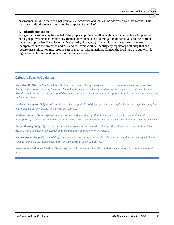environmental issues that were not previously recognized and that can be addressed by other means. This may be a useful discovery, but is not the purpose of the EAW.

#### **c. Identify mitigation**

Mitigation measures may be needed if the proposed project conflicts with or is incompatible with plans and zoning requirements that involve environmental matters. Discuss mitigation of potential land use conflicts under the appropriate EAW item (i.e. Visual, Air, Noise, etc.). If any mitigation measures have been incorporated into the project to address land use compatibility, identify any regulatory authority that can require these mitigation measures as part of their permitting actions. Contact the local land use authority for regulatory authorities and potential mitigation measures.

#### *Category Specific Guidance:*

*Non-Metallic Mineral Mining (Subp12): Sand and gravel mining is frequently viewed as a nuisance by nearby residents; therefore, discuss surrounding land uses, including distances to residences and measures to attempt to reduce nuisances. Also discuss how the ultimate end use of the mined area compares to the local unit's future plans for the area and discuss the reclamation plan.*

*Residential Development (Subp 19 and 19a): Discuss the compatibility of the project with any applicable local comprehensive plan and indicate how any inconsistencies will be resolved.*

*Highway projects (Subp 22): For lengthy projects with a variety of adjoining land uses, provide a general overall description of the land uses and more detail for those areas where there may be conflicts or the land uses are more sensitive.*

*Barge Fleeting (Subp 23) Address this item with respect to nearby onshore lands. Also address the compatibility of the fleeting with any adopted governmental plans that apply to the river or shoreland.* 

*Natural Areas (Subp 30): One of the primary concerns about a project reviewed under this mandatory category will be its compatibility with the management plan for the natural area being affected.* 

*Sports or entertainment facilities (Subp 34): Particular attention should be paid to compatibility with surrounding land uses.*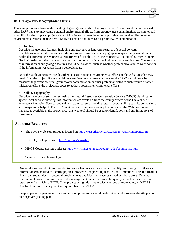#### **10. Geology, soils, topography/land forms**

This item provides a basic understanding of geology and soils in the project area. This information will be used in other EAW items to understand potential environmental effects from groundwater contamination, erosion, or soil suitability for the proposed project. Other EAW items that may be more appropriate for detailed discussion on environmental effects include Item 11.b.ii. for erosion and Item 12 for groundwater contamination.

#### **a. Geology**

Describe the geologic features, including any geologic or landform features of special concern. Possible sources of information include: site surveys, soil surveys, topographic maps, county sanitation or health departments, the Minnesota Department of Health, USGS, the Minnesota Geological Survey - County Geologic Atlas, or other maps of state bedrock geology, surficial geologic map, or Karst features. The source of information about geologic features should be provided, such as whether geotechnical studies were done or if the information was taken from a geologic atlas.

Once the geologic features are described, discuss potential environmental effects on those features that may result from the project. If any special concern features are present at the site, the EAW should describe measures to prevent potential groundwater contamination or other problems related to such feature or other mitigation efforts the project proposes to address potential environmental effects.

#### **b. Soils & topography**

Describe the types of soils present using the Natural Resources Conservation Service (NRCS) classification system. Soil surveys showing this information are available from the county offices of the University of Minnesota Extension Service, and soil and water conservation districts. If several soil types exist on the site, a soils map can be helpful. The NRCS maintains an internet-based application called the Web Soil Survey. If this data is available in the project area, this web tool should be used to identify soils and any limitations of those soils.

#### **Additional Resources:**

- The NRCS Web Soil Survey is located at:<http://websoilsurvey.nrcs.usda.gov/app/HomePage.htm>
- USGS Hydrologic atlases: <http://pubs.usgs.gov/ha/> t.
- MNGS County geologic atlases[: http://www.mngs.umn.edu/county\\_atlas/countyatlas.htm](http://www.mngs.umn.edu/county_atlas/countyatlas.htm)
- Site-specific soil boring logs.

Discuss the soil suitability as it relates to project features such as erosion, stability, and strength. Soil series information can be used to identify physical properties, engineering features, and limitations. This information should be used to identify potential problem areas and identify measures to address those areas. Detailed discussion of erosion control, stormwater management and effects to water quality should be discussed in response to Item 11.b.ii. NOTE: If the project will grade or otherwise alter one or more acres, an NPDES Construction Stormwater permit is required from the MPCA.

Steep slopes of 12 percent or more and erosion prone soils should be described and shown on the site plan or on a separate grading plan.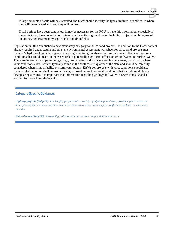If large amounts of soils will be excavated, the EAW should identify the types involved, quantities, to where they will be relocated and how they will be used.

If soil borings have been conducted, it may be necessary for the RGU to have this information, especially if the project may have potential to contaminate the soils or ground water, including projects involving use of on-site sewage treatment by septic tanks and drainfields.

Legislation in 2013 established a new mandatory category for silica sand projects. In addition to the EAW content already required under statute and rule, an environmental assessment worksheet for silica sand projects must include "a hydrogeologic investigation assessing potential groundwater and surface water effects and geologic conditions that could create an increased risk of potentially significant effects on groundwater and surface water." There are interrelationships among geology, groundwater and surface water in some areas, particularly where karst conditions exist. Karst is typically found in the southeastern quarter of the state and should be carefully considered when siting a facility or stormwater ponds. EAWs for projects with karst conditions should also include information on shallow ground water, exposed bedrock, or karst conditions that include sinkholes or disappearing streams. It is important that information regarding geology and water in EAW Items 10 and 11 account for those interrelationships.

## *Category Specific Guidance:*

*Highway projects (Subp 22): For lengthy projects with a variety of adjoining land uses, provide a general overall description of the land uses and more detail for those areas where there may be conflicts or the land uses are more sensitive.*

*Natural areas (Subp 30): Answer if grading or other erosion-causing activities will occur.*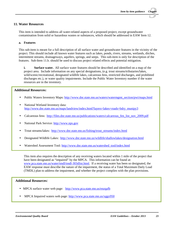#### **11. Water Resources**

This item is intended to address all water-related aspects of a proposed project, except groundwater contamination from solid or hazardous wastes or substances, which should be addressed in EAW Item 12.

#### **a. Features**

This sub-item is meant for a full description of all surface water and groundwater features in the vicinity of the project. This should include all known water features such as lakes, ponds, rivers, streams, wetlands, ditches, intermittent streams, drainageways, aquifers, springs, and seeps. This sub-item is only for description of the features. Sub-Item 11.b. should be used to discuss project related effects and potential mitigation.

**i. Surface water.** All surface water features should be described and identified on a map of the project area. Include information on any special designations, (e.g. trout streams/tributaries/lakes, wild/scenic/recreational, designated wildlife lakes, calcareous fens, restricted discharges, and prohibited discharges etc.), or water quality impairments. Include the Public Water Inventory number if the water resources are in the inventory.

#### **Additional Resources:**

- Public Waters Inventory Maps: [http://www.dnr.state.mn.us/waters/watermgmt\\_section/pwi/maps.html](http://www.dnr.state.mn.us/waters/watermgmt_section/pwi/maps.html)
- National Wetland Inventory data: [http://www.dnr.state.mn.us/maps/landview/index.html?layers=lakes+roads+bdry\\_munipy3](http://www.dnr.state.mn.us/maps/landview/index.html?layers=lakes+roads+bdry_munipy3)
- Calcareous fens: [http://files.dnr.state.mn.us/publications/waters/calcareous\\_fen\\_list\\_nov\\_2009.pdf](http://files.dnr.state.mn.us/publications/waters/calcareous_fen_list_nov_2009.pdf)  $\blacksquare$
- National Park Service: [http://www.nps.gov](http://www.nps.gov/)  $\blacksquare$
- Trout streams/lakes: [http://www.dnr.state.mn.us/fishing/trout\\_streams/index.html](http://www.dnr.state.mn.us/fishing/trout_streams/index.html)
- Designated Wildlife Lakes: <http://www.dnr.state.mn.us/wildlife/shallowlakes/designation.html>
- Watershed Assessment Tool: [http://www.dnr.state.mn.us/watershed\\_tool/index.html](http://www.dnr.state.mn.us/watershed_tool/index.html)

This item also requires the description of any receiving waters located within 1 mile of the project that have been designated as "impaired" by the MPCA. This information can be found at: [www.pca.state.mn.us/water/tmdl/tmdl-303dlist.html.](http://www.pca.state.mn.us/water/tmdl/tmdl-303dlist.html) If a receiving water has been so designated, the EAW response must describe the nature of the impairment, the status of a Total Maximum Daily Load (TMDL) plan to address the impairment, and whether the project complies with the plan provisions.

#### **Additional Resources:**

- MPCA surface water web page: <http://www.pca.state.mn.us/enzqafb>
- MPCA Impaired waters web page: <http://www.pca.state.mn.us/xggx950>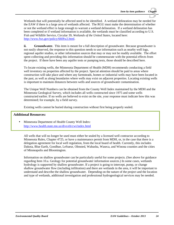Wetlands that will potentially be affected need to be identified. A wetland delineation may be needed for the EAW if there is a large area of wetlands affected. The RGU must make the determination of whether or not the wetland effect is large enough to warrant a wetland delineation. If a wetland delineation has been completed or if wetland information is available, the wetlands must be classified according to U.S. Fish and Wildlife Service, Circular 39, *Wetlands of the United States,* located here: [http://www.fws.gov/policy/660fw2.html.](http://www.fws.gov/policy/660fw2.html)

**ii. Groundwater.** This item is meant for a full description of groundwater. Because groundwater is not easily observed, the response to this question needs to use information such as nearby well logs, regional aquifer studies, or other information sources that may or may not be readily available. The effort spent collecting and providing this information should be commensurate with the potential effects from the project. If there have been any aquifer tests or pumping tests, those should be described here.

To locate existing wells, the Minnesota Department of Health (MDH) recommends conducting a field well inventory on properties affected by the project. Special attention should be paid to areas where construction will take place and where any farmsteads, homes or industrial wells may have been located in the past, as well as along boundaries where wells may exist on adjacent properties. Locating existing wells is important to maintain distances between wells and sources of groundwater contamination.

The Unique Well Numbers can be obtained from the County Well Index maintained by the MDH and the Minnesota Geological Survey, which includes all wells constructed since 1975 and some wells constructed earlier. If no wells are believed to exist on the site, your response must indicate how this was determined; for example, by a field survey.

Existing wells cannot be buried during construction without first being properly sealed.

## **Additional Resources:**

Minnesota Department of Health County Well Index: <http://www.health.state.mn.us/divs/eh/cwi/index.html>

All wells that will no longer be used must either be sealed by a licensed well contractor according to Minnesota Rules, Chapter 4725, or have a maintenance permit from MDH, or, in the case that there is a delegation agreement for local well regulation, from the local board of health. Currently, this includes Dakota, Blue Earth, Goodhue, LeSueur, Olmsted, Wabasha, Waseca, and Winona counties and the cities of Minneapolis and Bloomington.

Information on shallow groundwater can be particularly useful for some projects. (See above for guidance regarding Item 10.a. Geology for potential groundwater information sources.) In some cases, wetlands hydrology is supported by shallow groundwater. If a project is going to intercept, pump, or change shallow groundwater flow (including infiltration) and there are wetlands in the area, it will be important to understand and describe the shallow groundwater. Depending on the nature of the project and the location and type of wetlands, additional investigation and professional hydrogeological services may be needed.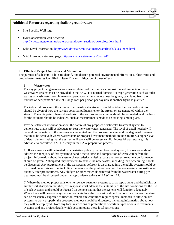## **Additional Resources regarding shallow groundwater:**

- Site-Specific Well logs
- DNR's observation well network: [http://www.dnr.state.mn.us/waters/groundwater\\_section/obwell/locations.html](http://www.dnr.state.mn.us/waters/groundwater_section/obwell/locations.html)
- Lake Level information: <http://www.dnr.state.mn.us/climate/waterlevels/lakes/index.html>
- MPCA groundwater web page:<http://www.pca.state.mn.us/0agx947>

#### **b. Effects of Project Activities and Mitigation**

The purpose of sub-Item 11.b. is to identify and discuss potential environmental effects on surface water and groundwater features identified in Item 11.a and mitigation of those effects.

#### **i. Wastewater**

For any project that generates wastewater, details of the sources, composition and amounts of these wastewater streams must be provided in the EAW. For normal domestic sewage generation such as toilet wastes or wash water from human occupancy, only the amounts need be given, calculated from the number of occupants at a rate of 100 gallons per person per day unless another figure is justified.

For industrial processes, the sources of all wastewater streams should be identified and a description should be given of how the various potential pollutants enter the stream or are generated within the stream. The anticipated chemical analysis of the various waste streams should be estimated, and the basis for the estimate should be indicated, such as measurements made at an existing similar plant.

Provide sufficient information about the nature of any proposed wastewater treatment system to demonstrate that it will be adequate to treat the wastewaters generated. The level of detail needed will depend on the nature of the wastewaters generated and the proposed system and the degree of treatment that must be achieved; where wastewaters or proposed treatment methods are non-routine, a higher level of detail demonstrating that the system will work will be necessary. For industrial wastewaters, it is advisable to consult with MPCA early in the EAW preparation process.

1) If wastewaters will be treated by an existing publicly owned treatment system, this response should address the adequacy of that system to handle the volume and composition of wastewaters from the project. Information about the system characteristics, existing loads and present treatment performance should be given. Anticipated improvements to handle the new wastes, including their scheduling, should be discussed. Any pretreatment of the wastewater before it is discharged into the public system should be discussed under this section, including the nature of the pre-treatment and the wastewater composition and quantity after pre-treatment. Any sludges or other materials removed from the wastewater during pretreatment must be discussed under the appropriate sections of EAW Item 12.

2) Where the method proposed is on-site sewage treatment systems such as septic tanks and drainfields or similar soil absorption facilities, this response must address the suitability of the site conditions for the use of such systems, and should be focused on demonstrating that the systems will function adequately. Where there will be on-site systems on separate lots, the discussion should demonstrate that each system can be reasonably expected to function. Where site conditions require special methods to allow on-site systems to work properly, the proposed methods should be discussed, including information about how they will be employed. Note any local restrictions or prohibitions of certain types of on-site treatments systems, and any project details which accommodate these local restrictions.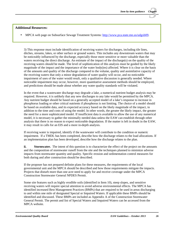#### **Additional Resources:**

MPCA web page on Subsurface Sewage Treatment Systems: [http://www.pca.state.mn.us/udgxb09.](http://www.pca.state.mn.us/udgxb09)

3) This response must include identification of receiving waters for discharges, including tile lines, ditches, streams, lakes, or other surface or ground waters. This includes any downstream waters that may be noticeably influenced by the discharge, especially those more sensitive or more valuable than the waters receiving the direct discharge. An estimate of the impact of the discharge(s) on the quality of the receiving waters should be made. The level of sophistication of this analysis must be guided by the likely magnitude of the impact and the importance of the water body(ies) affected. Where it is clear on the basis of the amounts and quality of the discharge compared to the volume, quality and assimilative capacity of the receiving waters that only a minor degradation of water quality will occur, and no noticeable impairment of uses of the water would result, only a qualitative discussion is generally needed. Where noticeable impairment may occur, however, more quantitative assessment methods should be employed, and predictions should be made about whether any water quality standards will be violated.

In the event that a wastewater discharge may degrade a lake, a numerical nutrient budget analysis may be required. However, it is unlikely that any new discharges to any lake would be permitted by the MPCA. Any nutrient budget should be based on a generally accepted model of a lake's response to increase in phosphorus loading or other critical nutrients if phosphorus is not limiting. The choice of a model should be based on available data, and its expected accuracy based on the likely magnitude of the impact, in addition to the time and costs of using the model. In other words, the greater the likely impact, the greater the need for a more sophisticated model. If insufficient data is available to allow the use of any numerical model, it is necessary to gather the minimally needed data unless the EAW can establish through other analysis that there is no reason to expect noticeable degradation. If the matter is left in doubt in the EAW, it may result in calls for an EIS and a more in-depth analysis.

If receiving water is impaired, identify if the wastewater will contribute to the condition or numeric impairment. If a TMDL has been completed, describe how the discharge relates to the load allocations. If an implementation plan has been developed, describe how the discharge relates to the plan.

**ii. Stormwater.** The intent of this question is to characterize the effect of the project on the amounts and the composition of stormwater runoff from the site and the techniques planned to minimize adverse impacts from stormwater quantity and quality. Specific erosion and sedimentation control measures for both during and after construction should be described.

If the proposer has not prepared definite plans for these measures, the requirements of the local governmental unit and the MPCA should be described and how those requirements mitigate the impacts. Projects that disturb more than one acre need to apply for and receive coverage under the MPCA Construction Stormwater General NPDES Permit.

Some site features such as highly erodible soils (identified in Item 10), steep slopes, and sensitive receiving waters will require special attention to avoid adverse environmental effects. The MPCA has identified increased Best Management Practices (BMPs) that are required to be used in areas discharging to and within one mile of designated Special or Impaired Waters. If applicable these BMPs should be identified and discussed. These BMPs are included as Appendix A of the Construction Stormwater General Permit. The permit and list of Special Waters and Impaired Waters can be accessed from the MPCA website.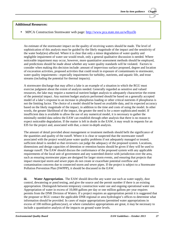## **Additional Resources:**

MPCA Construction Stormwater web page:<http://www.pca.state.mn.us/wfhya5b>

An estimate of the stormwater impact on the quality of receiving waters should be made. The level of sophistication of this analysis must be guided by the likely magnitude of the impact and the sensitivity of the water body(ies) affected. Where it is clear that only a minor degradation of water quality and negligible impairment of water use would result, only a general qualitative discussion is needed. Where noticeable impairment may occur, however, more quantitative assessment methods should be employed, and predictions should be made about whether any water quality standards will be violated. Factors to consider when making this decision include: amount of impervious surface proposed, degree and location of excavation activities, proposed activities that could result in exposure of contaminants to stormwater, water quality impairments—especially impairments for turbidity, nutrients, and aquatic life, and trout streams (including the potential for thermal impacts).

A stormwater discharge that may affect a lake is an example of a situation in which the RGU must exercise judgment about the extent of analysis needed. Generally regarded as sensitive and valued resources, the lake may require a numerical nutrient budget analysis to adequately characterize the extent of the potential impact. Any nutrient budget analysis performed should be based on a generally accepted model of a lake's response to an increase in phosphorus loading or other critical nutrients if phosphorus is not the limiting factor. The choice of a model should be based on available data, and its expected accuracy based on the likely magnitude of the impact, in addition to the time and costs of using the model. In other words, the greater likelihood of the impact, the greater the need is for a more sophisticated model. If insufficient data is available to allow the use of any numerical model, it is necessary to gather the minimally needed data unless the EAW can establish through other analysis that there is no reason to expect noticeable degradation. If the matter is left in doubt in the EAW, it may result in requests for an EIS for the project and, associated with that, a more in-depth analysis.

The amount of detail provided about management or treatment methods should befit the significance of the quantities and quality of the runoff. Where it is clear or suspected that the stormwater runoff associated with the project would pose water quality problems if not adequately managed or treated, sufficient detail is needed so that reviewers can judge the adequacy of the proposed system. Locations, dimensions and design capacities of detention or retention basins should be given if they will be used to manage runoff. The EAW should discuss the conformance of the proposed system with any applicable requirements of the local unit of government and any watershed district with jurisdiction over the area, such as ensuring stormwater pipes are designed for larger storm events, and ensuring that projects that impact municipal storm and sewer pipes do not create or exacerbate potential overflow and contamination concerns due to connected storm and sewer pipes. If the project is subject to a Stormwater Pollution Prevention Plan (SWPPP), it should be discussed in the EAW.

**iii.** Water Appropriation. The EAW should describe any water use such as water supply, dust control, dewatering or pond testing, and give the source and the permit number if there is an existing appropriation. Distinguish between temporary construction water use and ongoing operational water use. Appropriation of water in excess of 10,000 gallons per day or one million gallons per year requires permits from the DNR Division of Waters. If a project requires an appropriation permit it is suggested that the proposer or RGU contact the applicable DNR regional or area hydrologist's offices to determine what information should be provided. In cases of major appropriations (permitted water appropriations in excess of 100 million gallons/year), or where cumulative appropriations are great, it may be necessary to include a quantitative analysis of the impacts on ground water levels.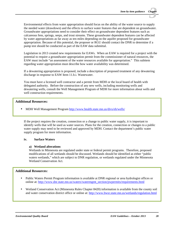Environmental effects from water appropriation should focus on the ability of the water source to supply the needed water (drawdown) and the effects to surface water features that are dependent on groundwater. Groundwater appropriations need to consider their effect on groundwater dependent features such as calcareous fens, springs, seeps, and trout streams. These groundwater dependent features can be affected by water appropriations as far away as ten miles depending on the aquifer proposed for groundwater appropriation. Because of this potential, the proposer or RGU should contact the DNR to determine if a pump test should be conducted as part of the EAW data submittal.

Legislation in 2013 created new requirements for EAWs. When an EAW is required for a project with the potential to require a groundwater appropriation permit from the commissioner of natural resources, the EAW must include "an assessment of the water resources available for appropriation." This subitem regarding water appropriation must describe how water availability was determined.

If a dewatering appropriation is proposed, include a description of proposed treatment of any dewatering discharge in response to EAW Item 11.b.i. Wastewater.

You must have a licensed well contractor and a permit from MDH or the local board of health with delegated authority. Before the construction of any new wells, including monitoring wells and dewatering wells, consult the Well Management Program of MDH for more information about wells and well construction requirements.

## **Additional Resources:**

MDH Well Management Program <http://www.health.state.mn.us/divs/eh/wells/>

If the project requires the creation, connection or a change to public water supply, it is important to identify wells that will be used as water sources. Plans for the creation, connection or changes to a public water supply may need to be reviewed and approved by MDH. Contact the department's public water supply program for more information.

#### **iv. Surface Waters**

#### **a) Wetland alterations**

Wetlands in Minnesota are regulated under state or federal permit programs. Therefore, proposed modifications of all wetlands should be discussed. Wetlands should be identified as either "public waters wetlands," which are subject to DNR regulation, or wetlands regulated under the Minnesota Wetland Conservation Act.

## **Additional Resources:**

- online at: [http://www.dnr.state.mn.us/waters/watermgmt\\_section/pwpermits/requirements.html](http://www.dnr.state.mn.us/waters/watermgmt_section/pwpermits/requirements.html) Public Waters Permit Program information is available at DNR regional or area hydrologist offices or
- Wetland Conservation Act (Minnesota Rules Chapter 8420) information is available from the county soil and water conservation district office or online at[: http://www.bwsr.state.mn.us/wetlands/regulation.html](http://www.bwsr.state.mn.us/wetlands/regulation.html)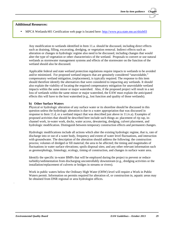#### **Additional Resources:**

MPCA Wetlands/401 Certification web page is located here:<http://www.pca.state.mn.us/sbizb03>

Any modification to wetlands identified in Item 11.a. should be discussed, including direct effects such as draining, filling, excavating, dredging, or vegetation removal. Indirect effects such as alteration or changes in hydrologic regime also need to be discussed, including changes that would alter the type of vegetation or other characteristics of the wetland. Proposals to convert or use natural wetlands as stormwater management systems and effects of the stormwater on the function of the wetland should also be discussed.

Applicable federal and state wetland protection regulations require impacts to wetlands to be avoided and/or minimized. For proposed wetland impacts that are genuinely considered "unavoidable," compensatory wetland mitigation, (replacement), is typically required. The response to this item should therefore identify the alternatives that were considered to impacting any wetlands. It should also explain the viability of locating the required compensatory mitigation for unavoidable wetland impacts within the same minor or major watershed. Also, if the proposed project will result in a net loss of wetlands within the same minor or major watershed, the EAW must explain the anticipated effects this will have to the host watershed  $(e.g.,]$  lost function and quality of those wetlands).

#### **b) Other Surface Waters**

Physical or hydrologic alteration of any surface water or its shoreline should be discussed in this question unless the hydrologic alteration is due to a water appropriation that was discussed in response to Item 11.d, or a wetland impact that was described just above in 11.iv.a). Examples of proposed activities that should be described here include such things as: placement of rip rap, inchannel work, in-water work, docks, water access, dewatering, dredging, culvert placement, and hydrologic modification. Distinguish between temporary construction effects and permanent changes.

Hydrologic modifications include all actions which alter the existing hydrologic regime, that is, rate of discharge into or out of a water body, frequency and extent of water level fluctuations, and interaction with groundwater. The description of the alteration should address the following: the construction process; volumes of dredged or fill material; the area to be affected; the timing and magnitudes of fluctuations in water surface elevations; spoils disposal sites; and any other relevant information such as geomorphology, limnology, ecology, timing of construction, and changes in surface water area.

Identify the specific in-water BMPs that will be employed during the project to prevent or reduce turbidity/sedimentation from discharging uncontrollably downstream (e.g., dredging activities or the installation/replacement of culverts or bridges in streams or rivers).

Work in public waters below the Ordinary High Water (OHW) level will require a Work in Public Waters permit. Information on permits required for alteration of, or construction in, aquatic areas may be obtained from DNR regional or area hydrologist offices.

.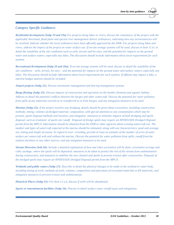## *Category Specific Guidance:*

*Residential development (Subp 19 and 19a) For projects along lakes or rivers, discuss the consistency of the project with the applicable shoreland, flood plain and special river management district ordinances, indicating how any inconsistencies will be resolved. Indicate whether the local ordinances have been officially approved by the DNR. For projects along lakes and rivers, address the impact of the project on water surface use. If on-site sewage systems will be used, discuss in Item 11.b.i in detail the suitability of the site conditions such as soils, terrain and lot sizes, and the potential for impacts on the ground water and surface waters, especially any lakes. The discussion should include information about local requirements for such systems.* 

*Recreational development (Subp 20 and 20a): If on-site sewage systems will be used, discuss in detail the suitability of the site conditions – soils, terrain, lot sizes – and the potential for impacts on the ground water and surface waters, especially any*  lakes. The discussion should include information about local requirements for such systems. If effluent may impact a lake, a *nutrient budget analysis should be included.*

*Airport projects (Subp 21): Discuss stormwater management and deicing management systems.* 

*Barge fleeting (Subp 23): Discuss impacts of construction and operation on the benthic (bottom) and aquatic habitat. Address in detail the potential conflicts between the barges and other watercraft. Discuss the potential for water pollution from spills of any materials carried on or transferred to or from barges, and any mitigation measures to be used.*

*Marinas (Subp 25): If the project involves any dredging, details should be given about excavation, including construction methods; timing; volumes of dredged material; composition, with special attention to any contaminants which may be present; spoils disposal methods and location; and mitigation measures to minimize impacts of both dredging and spoils disposal, such as treatment of spoils site runoff. Disposal of dredge spoils may require an NPDES/SDS Dredged Disposal permit from the MPCA. Information should be obtained from the DNR or other agencies about existing watercraft use. The number and types of watercraft expected at the marina should be estimated, along with use characteristics: peak and average use, timing and length of season. In regard to over- crowding, provide at least an estimate of the number of acres of water surface per watercraft with and without the marina. Discuss the potential for water pollution from spills, runoff from the onshore facilities or any other sources, and any mitigation measures to be used.*

*Stream Diversion (Sub 26): Include a detailed explanation of how and when excavation will be done; excavation acreage and cubic yardage; where the spoils will be deposited; measures to be taken to protect the rest of the stream from sedimentation during construction; and measures to stabilize the new channel and spoils to prevent erosion after construction. Disposal of the dredged spoils may require an NPDES/SDS Dredged Disposal permit from the MPCA.* 

*Wetlands and public waters (Subp 27): Describe in detail the physical changes to be made in the wetland or water body, including timing of work; methods of work; volumes, composition and placement of excavated materials or fill materials; and mitigation measures to prevent erosion and sedimentation.*

*Historical Places (Subp 31): For Item 11.a.ii, discuss if wells will be abandoned.*

*Sports or entertainment facilities (Subp 34): Discuss in detail surface water runoff issues and mitigations.*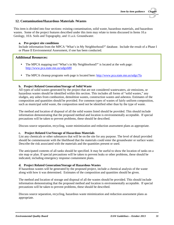## **12. Contamination/Hazardous Materials /Wastes**

This item is divided into four sections: existing contamination, solid waste, hazardous materials, and hazardous wastes. Some of the project features described under this item may relate to items discussed in Items 10.a Geology, 10.b. Soils and Topography, and 11.a.ii. Groundwater.

#### **a. Pre-project site conditions**

Include information from the MPCA "What's in My Neighborhood?" database. Include the result of a Phase I or Phase II Environmental Assessment, if one has been conducted.

#### **Additional Resources:**

- The MPCA mapping tool "What's in My Neighborhood?" is located at the web page: <http://www.pca.state.mn.us/udgx680>
- The MPCA cleanup programs web page is located here:<http://www.pca.state.mn.us/udgx7fa>

#### **b. Project Related Generation/Storage of Solid Waste**

All types of solid wastes generated by the project that are not considered wastewaters, air emissions, or hazardous wastes should be identified within this section. This includes all forms of "solid wastes," any sludges, any ashes from combustion, demolition wastes, construction wastes and asbestos. Estimates of the composition and quantities should be provided. For common types of wastes of fairly uniform composition, such as municipal solid waste, the composition need not be identified other than by the type of waste.

The method and location of disposal of all the solid wastes listed should be provided. This should include information demonstrating that the proposed method and location is environmentally acceptable. If special precautions will be taken to prevent problems, these should be described.

Discuss source separation, recycling, waste minimization and reduction assessment plans as appropriate.

#### **c. Project Related Use/Storage of Hazardous Materials**

List any chemicals or other substances that will be on the site for any purpose. The level of detail provided should be commensurate with the likelihood that the materials could enter the groundwater or surface water. Describe the risk associated with the materials and the quantities present or used.

The anticipated contents of all tanks should be specified. It may be useful to show the location of tanks on a site map or plan. If special precautions will be taken to prevent leaks or other problems, these should be indicated, including emergency response containment plans.

#### **d. Project Related Generation/Storage of Hazardous Wastes**

If hazardous wastes will be generated by the proposed project, include a chemical analysis of the waste along with how it was determined. Estimates of the composition and quantities should be given.

The method and location of storage and disposal of all the wastes should be provided. This should include information demonstrating that the proposed method and location is environmentally acceptable. If special precautions will be taken to prevent problems, these should be described.

Discuss source separation, recycling, hazardous waste minimization and reduction assessment plans as appropriate.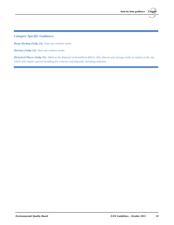*Category Specific Guidance:*

*Barge fleeting (Subp 23): Note any onshore tanks.*

*Marinas (Subp 25): Note any onshore tanks.*

*Historical Places (Subp 31): Address the disposal of demolition debris. Also discuss any storage tanks or wastes at the site which will require special handling for removal and disposal, including asbestos.*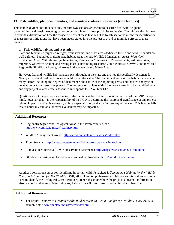## **13. Fish, wildlife, plant communities, and sensitive ecological resources (rare features)**

This item is divided into four sections, the first two sections are meant to describe fish, wildlife, plant communities, and sensitive ecological resources within or in close proximity to the site. The third section is meant to provide a discussion on how the project will affect these features. The fourth section is meant for identification of measures or mitigations that have been incorporated into the project to avoid or minimize effects to these features.

#### **a. Fish, wildlife, habitat, and vegetation**

State and federally designated refuges, trout streams, and other areas dedicated to fish and wildlife habitat are well defined. Examples of designated habitat areas include Wildlife Management Areas, Waterfowl Production Areas, Wildlife Refuge Inventories, Reinvest in Minnesota (RIM) easements, wild rice lakes, migratory waterfowl feeding and resting lakes, Outstanding Resource Value Waters (ORVWs), and identified Regionally Significant Ecological Areas in the seven county Metro Area.

However, fish and wildlife habitat areas exist throughout the state and are not all specifically designated. Nearly all undeveloped land has some wildlife habitat value. The quality and value of the habitat depends on many factors including the degree of disturbance, the nature of the adjoining areas, and the area and type of vegetation or water resources present. The presence of habitats within the project area is to be identified here and any project-related effects described in response to EAW Item 13.c.

Questions about the presence and value of the habitat can be directed to regional offices of the DNR. Keep in mind, however, that it is the responsibility of the RGU to determine the nature and significance of any projectrelated impacts. It often is necessary to hire a specialist to conduct a field survey of the site. This is especially true if unusually valuable or extensive habitat may be impacted.

## **Additional Resources:**

- Regionally Significant Ecological Areas in the seven county Metro: <http://www.dnr.state.mn.us/rsea/map.html>
- Wildlife Management Areas: <http://www.dnr.state.mn.us/wmas/index.html>  $\blacksquare$
- Trout Streams: [http://www.dnr.state.mn.us/fishing/trout\\_streams/index.html](http://www.dnr.state.mn.us/fishing/trout_streams/index.html)
- Reinvest in Minnesota (RIM) Conservation Easements:<http://maps.bwsr.state.mn.us/rimonline/>
- GIS data for designated habitat areas can be downloaded at: <http://deli.dnr.state.mn.us/>

Another information source for identifying important wildlife habitats is *Tomorrow's Habitat for the Wild & Rare: an Action Plan for MN Wildlife*, DNR, 2006. This comprehensive wildlife conservation strategy can be used to identify the Ecological Classification System Subsection where the project is located. Information also can be found to assist identifying key habitats for wildlife conservation within that subsection.

## **Additional Resources:**

The report, *Tomorrow's Habitat for the Wild & Rare: an Action Plan for MN Wildlife*, DNR, 2006, is available at: [www.dnr.state.mn.us/cwcs/index.html](http://www.dnr.state.mn.us/cwcs/index.html)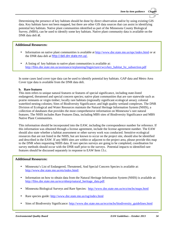Determining the presence of key habitats should be done by direct observation and/or by using existing GIS data. Key habitats have not been mapped, but there are other GIS data sources that can assist in identifying potential key habitats. Native plant communities identified as part of the Minnesota County Biological Survey, (MBS), can be used to identify some key habitats. Native plant community data is available on the DNR data deli at.

#### **Additional Resources:**

- Information on native plant communities is available at<http://www.dnr.state.mn.us/npc/index.html> or at the DNR data deli at <http://deli.dnr.state.mn.us/>.
- A listing of key habitats to native plant communities is available at: [http://files.dnr.state.mn.us/assistance/nrplanning/bigpicture/cwcs/key\\_habitat\\_by\\_subsection.pdf](http://files.dnr.state.mn.us/assistance/nrplanning/bigpicture/cwcs/key_habitat_by_subsection.pdf)

In some cases land cover type data can be used to identify potential key habitats. GAP data and Metro Area Cover type data is available from the DNR data deli.

#### **b. Rare features**

This item refers to unique natural features or features of special significance, including state-listed endangered, threatened and special concern species; native plant communities that are rare statewide such as prairie remnants or virgin timber; locally rare habitats (regionally significant ecological areas); colonial waterbird nesting colonies; Sites of Biodiversity Significance; and high quality wetland complexes. The DNR Division of Ecological and Water Resources maintain the Natural Heritage Information System (NHIS), a collection of databases that provides the most comprehensive information on Minnesota's rare natural features. The NHIS includes Rare Features Data, including MBS sites of Biodiversity Significance and MBS Native Plant Communities.

This information should be incorporated into the EAW, including the correspondence number for reference. If this information was obtained through a license agreement, include the license agreement number. The EAW should also state whether a habitat assessment or other survey work was conducted. Sensitive ecological resources that are not listed in the NHIS, but are known to occur on the project site, should also be identified and described in the EAW. If any MBS sites are within or adjacent to the project area, please provide this map to the DNR when requesting NHIS data. If rare species surveys are going to be completed, coordination for survey methods should occur with the DNR staff prior to the surveys. Potential impacts to identified rare features should be discussed separately in response to EAW Item 13.c.

#### **Additional Resources:**

- Minnesota's List of Endangered, Threatened, And Special Concern Species is available at: [http://www.dnr.state.mn.us/ets/index.html\](http://www.dnr.state.mn.us/ets/index.html/)
- Information on how to obtain data from the Natural Heritage Information System (NHIS) is available at: [http://files.dnr.state.mn.us/eco/nhnrp/natural\\_heritage\\_data.pdf.](http://files.dnr.state.mn.us/eco/nhnrp/natural_heritage_data.pdf)
- Minnesota Biological Surveys and Rare Species:<http://www.dnr.state.mn.us/eco/mcbs/maps.html>  $\mathbf{r}$
- Rare species guide:<http://www.dnr.state.mn.us/rsg/index.html>
- Sites of Biodiversity Significance: [http://www.dnr.state.mn.us/eco/mcbs/biodiversity\\_guidelines.html](http://www.dnr.state.mn.us/eco/mcbs/biodiversity_guidelines.html)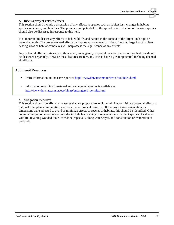#### **c. Discuss project-related effects**

This section should include a discussion of any effects to species such as habitat loss, changes in habitat, species avoidance, and fatalities. The presence and potential for the spread or introduction of invasive species should also be discussed in response to this item.

It is important to discuss any effects to fish, wildlife, and habitat in the context of the larger landscape or watershed scale. The project-related effects on important movement corridors, flyways, large intact habitats, nesting areas or habitat complexes will help assess the significance of any effects.

Any potential effects to state-listed threatened, endangered, or special concern species or rare features should be discussed separately. Because these features are rare, any effects have a greater potential for being deemed significant.

## **Additional Resources:**

- DNR Information on Invasive Species: <http://www.dnr.state.mn.us/invasives/index.html>
- Information regarding threatened and endangered species is available at: [http://www.dnr.state.mn.us/eco/nhnrp/endangered\\_permits.html](http://www.dnr.state.mn.us/eco/nhnrp/endangered_permits.html)

#### **d. Mitigation measures**

This section should identify any measures that are proposed to avoid, minimize, or mitigate potential effects to fish, wildlife, plant communities, and sensitive ecological resources. If the project size, orientation, or dimensions were adjusted to avoid or minimize effects to species or habitats, this should be identified. Other potential mitigation measures to consider include landscaping or revegetation with plant species of value to wildlife, retaining wooded travel corridors (especially along waterways), and construction or restoration of wetlands.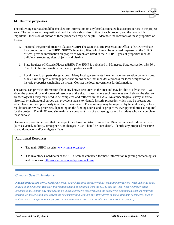## **14. Historic properties**

The following sources should be checked for information on any listed/designated historic properties in the project area. The response to the question should include a short description of each property and the reason it is important. Inclusion of photos of these properties may be helpful. Also note the locations of these properties on a map.

- **a.** National Register of Historic Places (NRHP) The State Historic Preservation Office's (SHPO) website lists properties on the NHRP. SHPO's inventory files, which must be accessed in-person at the SHPO offices, provide information on properties which are listed in the NRHP. Types of properties include buildings, structures, sites, objects, and districts.
- **b.** State Register of Historic Places (SRHP) The SRHP is published in Minnesota Statutes, section 138.664. The SHPO has information on these properties as well.
- **c.** Local historic property designations. Many local governments have heritage preservation commissions. Many have adopted a heritage preservation ordinance that includes a process for local designation of historic properties (including districts). Contact the local government for information.

The SHPO can provide information about any known resources in the area and may be able to advise the RGU about the potential for undiscovered resources at the site. In cases where such resources are likely on the site, an archaeological survey may need to be completed and reflected in the EAW. An archaeological survey and/or a historical or architectural survey can provide a means to identify historic properties which may be present but which have not been previously identified or evaluated. These surveys may be required by federal, state, or local regulations or review processes, depending on the funding source and/or project review/approval process required for the project. The SHPO web site maintains consultant lists of archaeologists and historians who can complete these surveys.

Discuss any potential effects that the project may have on historic properties. Direct effects and indirect effects (such as visual, auditory, atmospheric, or changes in use) should be considered. Identify any proposed measures to avoid, reduce, and/or mitigate effects.

## **Additional Resources:**

- The main SHPO website: [www.mnhs.org/shpo/](http://www.mnhs.org/shpo/)
- The Inventory Coordinator at the SHPO can be contacted for more information regarding archaeologists and historians:<http://www.mnhs.org/shpo/contact.htm>

## *Category Specific Guidance:*

*Natural areas (Subp 30): Describe historical or architectural property values, including any factors which led to its being placed on the National Register. Information should be obtained from the SHPO and any local historic preservation organizations. Explain any measures to be taken to preserve these values if the property is demolished, such as removing portion for preservation, photographing or documenting. Explain any alternatives to demolition also considered, such as restoration, reuses for another purpose or sale to another owner who would have preserved the property.*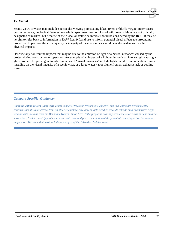## **15. Visual**

Scenic views or vistas may include spectacular viewing points along lakes, rivers or bluffs; virgin timber tracts; prairie remnants; geological features; waterfalls; specimen trees; or plots of wildflowers. Many are not officially designated or marked, but because of their local or statewide interest should be considered by the RGU. It may be helpful to refer back to information in EAW Item 9. Land use to inform potential visual effects to surrounding properties. Impacts on the visual quality or integrity of these resources should be addressed as well as the physical impacts.

Describe any non-routine impacts that may be due to the emission of light or a "visual nuisance" caused by the project during construction or operation. An example of an impact of a light emission is an intense light causing a glare problem for passing motorists. Examples of "visual nuisances" include lights on tall communication towers intruding on the visual integrity of a scenic vista, or a large water vapor plume from an exhaust stack or cooling tower.

## *Category Specific Guidance:*

*Communication towers (Subp 33): Visual impact of towers is frequently a concern, and is a legitimate environmental concern when it would detract from an otherwise noteworthy view or vista or when it would intrude on a "wilderness" type view or vista, such as from the Boundary Waters Canoe Area. If the project is near any scenic views or vistas or near an area known for a "wilderness" type of experience, note here and give a description of the potential visual impact on the resource in question. This should at least include an analysis of the "viewshed" of the tower.*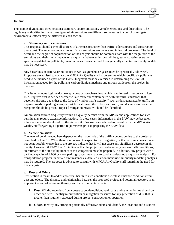## **16. Air**

This item is divided into three sections: stationary source emissions, vehicle emissions, and dust/odors. The regulatory authorities for these three types of air emissions are different so measures to control or mitigate environmental effects may be different in each section.

#### **a. Stationary source emissions**

This response should cover all sources of air emissions other than traffic, odor sources and constructionphase dust. The most common sources of such emissions are boilers and industrial processes. The level of detail and the degree of sophistication of the analysis should be commensurate with the magnitude of the emissions and their likely impacts on air quality. Where emissions will be great or contain several or specific regulated air pollutants, quantitative estimates derived from generally accepted air quality models may be necessary.

Any hazardous or criteria air pollutants as well as greenhouse gases must be specifically addressed. Proposers are advised to contact the MPCA Air Quality staff to determine which specific air pollutants need to be included as part of the EAW. Judgment must be exercised in determining the level of information needed for the pollutants carbon dioxide, methane and nitrous oxide from the project in question.

This item includes fugitive dust except construction-phase dust, which is addressed in response to Item 16.c. Fugitive dust is defined as "particulate matter uncontaminated with industrial emissions that becomes airborne due either to the force of wind or man's activity," such as dust generated by traffic on unpaved roads or parking areas, or dust from storage piles. The locations of, and distances to, sensitive receptors should be given. Proposed mitigation measures should be identified.

Air emission sources frequently require air quality permits from the MPCA and applications for such permits may require extensive information. In these cases, information in the EAW may be based on information being developed for the air permit. Proposers are advised to consult with the MPCA Air Quality staff regarding air permit requirements prior to preparing the EAW data.

#### **b. Vehicle emissions**

The level of detail needed here depends on the magnitude of the traffic congestion due to the project as described in Item 18. When there is no reason to expect traffic congestion, or that existing congestion will not be noticeably worse due to the project, indicate that it will not cause any significant decrease in air quality. However, if EAW Item 18 indicates that the project will substantially worsen traffic conditions, an estimate of the air quality impact of this congestion must be prepared. In addition, any project with a parking capacity of 2,000 or more parking spaces may have to conduct a detailed air quality analysis. For transportation projects, in certain circumstances, a detailed carbon monoxide air quality modeling analysis may be required. The proposer is advised to consult with MPCA Air Quality staff regarding the need for this analysis.

#### **c. Dust and Odors**

This section is meant to address potential health-related conditions as well as nuisance conditions from dust and odors. The distance and relationship between the proposed project and potential receptors is an important aspect of assessing these types of environmental effects.

- **i. Dust.** Wind-blown dust from construction, demolition, haul roads and other activities should be described here. Identify minimization or mitigation measures for any generation of dust that is greater than routinely expected during project construction or operation.
- **ii. Odors.** Identify any strong or potentially offensive odors and identify the locations and distances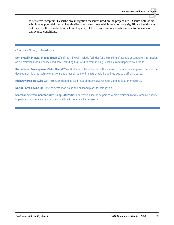to sensitive receptors. Describe any mitigation measures used on the project site. Discuss both odors which have potential human health effects and also those which may not pose significant health risks but may result in a reduction or loss of quality of life to surrounding neighbors due to nuisance or annoyance conditions.

## *Category Specific Guidance:*

*Non-metallic Mineral Mining (Subp 12): If the mine will include facilities for the making of asphalt or concrete, information on air emissions should be included here, including fugitive dust from mining, stockpiles and unpaved haul roads.*

*Recreational Development (Subp 20 and 20a): Dust should be addressed if the access to the site is via unpaved roads. If the development is large, vehicle emissions and other air quality impacts should be defined due to traffic increases.* 

*Highway projects (Subp 22): Attention should be paid regarding sensitive receptors and mitigation measures.*

*Natural Areas (Subp 30): Discuss demolition noise and dust and plans for mitigation.*

*Sports or entertainment facilities (Subp 34): Particular attention should be paid to vehicle emissions and related air quality impacts and numerical analysis of air quality will generally be necessary.*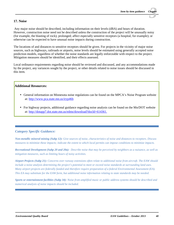#### **17. Noise**

Any major noise should be described, including information on their levels (dBA) and hours of duration. However, construction noise need not be described unless the construction of the project will be unusually noisy (for example, the blasting of rock); prolonged; affect especially sensitive receptors (a hospital, for example); or otherwise can be expected to have unusual noise impacts during construction.

The locations of and distances to sensitive receptors should be given. For projects in the vicinity of major noise sources, such as highways, railroads or airports, noise levels should be estimated using generally accepted noise prediction models, regardless of whether the noise standards are legally enforceable with respect to the project. Mitigation measures should be identified, and their effects assessed.

Local ordinance requirements regarding noise should be reviewed and discussed, and any accommodations made by the project, any variances sought by the project, or other details related to noise issues should be discussed in this item.

## **Additional Resources:**

- General information on Minnesota noise regulations can be found on the MPCA's Noise Program website at:<http://www.pca.state.mn.us/iryp46b>
- For highway projects, additional guidance regarding noise analysis can be found on the Mn/DOT website at: [http://dotapp7.dot.state.mn.us/edms/download?docId=614361.](http://dotapp7.dot.state.mn.us/edms/download?docId=614361)

## *Category Specific Guidance:*

*Non-metallic mineral mining (Subp 12): Give sources of noise, characteristics of noise and distances to receptors. Discuss measures to minimize these impacts; indicate the extent to which local permits can impose conditions to minimize impacts.* 

*Recreational Development (Subp 20 and 20a): Describe noise that may be perceived by neighbors as a nuisance, as well as mitigation measures, such as limiting hours of noisy activities.*

*Airport Projects (Subp 21): Concerns over runway extensions often relate to additional noise from aircraft. The EAW should include a noise analysis determining the project's potential to meet or exceed noise standards at surrounding land uses. Many airport projects are federally funded and therefore require preparation of a federal Environmental Assessment (EA). This EA may substitute for the EAW form, but additional noise information relating to state standards may be needed.* 

*Sports or entertainment facilities (Subp 34): Noise from amplified music or public address systems should be described and numerical analysis of noise impacts should be included.*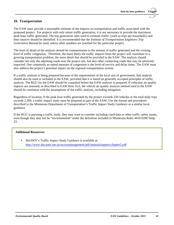## **18. Transportation**

The EAW must provide a reasonable estimate of the impacts on transportation and traffic associated with the proposed project. For projects with only minor traffic generation, it is not necessary to provide the maximum peak hour traffic generated. The trip generation rates used to estimate traffic, (such as trips per household,) and their sources should be identified. It is recommended that the *Institute of Transportation Engineers Trip Generation Manual* be used, unless other numbers are justified for the particular project.

The level of detail of the analysis should be commensurate to the amount of traffic generated and the existing level of traffic congestion. Therefore, the more likely the traffic impacts from the project will contribute to a growing transportation problem, the more detail that should be provided in the EAW. The analysis should consider not only the adjoining roads near the project site, but also other connecting roads that may be adversely impacted. One commonly accepted measure of congestion is the level-of-service and delay times. The EAW must also address the project's potential impact on the regional transportation system.

If a traffic analysis is being prepared because of the requirements of the local unit of government, that analysis should also be used or included in the EAW, provided that it is based on generally accepted principles of traffic analysis. The RGU for the EAW should be consulted before the EAW analysis is prepared. If vehicular air quality impacts are assessed, as described in EAW Item 16.b, the vehicle air quality analysis method used in the EAW should be consistent with the assumptions of the traffic analysis, including mitigation.

Regardless of location, if the peak hour traffic generated by the project exceeds 250 vehicles or the total daily trips exceeds 2,500, a traffic impact study must be prepared as part of the EAW. Use the format and procedures described in the Minnesota Department of Transportation's Traffic Impact Study Guidance or a similar local guidance.

If the RGU is pursuing a traffic study, they may want to consider including crash data or other traffic safety issues, even though they may not be "environmental" under the definition included in Minnesota Rules 4410.0200 Subp. 23.

#### **Additional Resources:**

Mn/DOT's Traffic Impact Study Guidance is available at: <http://www.dot.state.mn.us/accessmanagement/pdf/manualchapters/chapter5.pdf>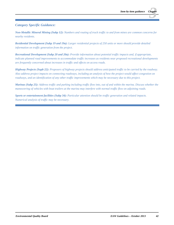## *Category Specific Guidance:*

*Non-Metallic Mineral Mining (Subp 12): Numbers and routing of truck traffic to and from mines are common concerns for nearby residents.*

*Residential Development (Subp 19 and 19a): Larger residential projects of 250 units or more should provide detailed information on traffic generation from the project.*

*Recreational Development (Subp 20 and 20a): Provide information about potential traffic impacts and, if appropriate, indicate planned road improvements to accommodate traffic increases as residents near proposed recreational developments are frequently concerned about increases in traffic and effects on access roads.*

*Highway Projects (Supb 22): Proposers of highway projects should address anticipated traffic to be carried by the roadway. Also address project impacts on connecting roadways, including an analysis of how the project would affect congestion on roadways, and an identification of any other traffic improvements which may be necessary due to this project.*

*Marinas (Subp 25): Address traffic and parking including traffic flow into, out of and within the marina. Discuss whether the maneuvering of vehicles with boat trailers at the marina may interfere with normal traffic flow on adjoining roads.* 

*Sports or entertainment facilities (Subp 34): Particular attention should be traffic generation and related impacts. Numerical analysis of traffic may be necessary.*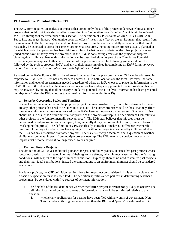## **19. Cumulative Potential Effects (CPE)**

The EAW form requires an analysis of impacts that are not only those of the project under review but also other projects that could contribute similar effects, resulting in a "cumulative potential effect," which will be referred to as "CPE" throughout the remainder of this section. The definition of CPE is found at Minn. Rules 4410.0200, Subp. 11a, and reads, in part, "Cumulative potential effects" means the effect on the environment that results from the incremental effects of a project in addition to other projects in the environmentally relevant area that might reasonably be expected to affect the same environmental resources, including future projects actually planned or for which a basis of expectation has been laid, regardless of what person undertakes the other projects or what jurisdictions have authority over the projects." If the RGU is considering effects on the project or adaptive planning due to climate change, this information can be described either as part of the Cumulative Potential Effects analysis in response to this item or as part of the previous items. The following guidance should be followed by the project proposer, RGU, and any of their agents involved in completing an EAW form; *however, the RGU must control decisions about what gets left out or included.* 

As noted on the EAW Form, CPE can be addressed under each of the previous items or CPE can be addressed in response to EAW Item 19. It is not necessary to address CPE in both locations on the form. However, the same information and level of assessment is needed regardless of where an RGU chooses to place the information in the EAW. If the RGU believes that the item-by-item responses have adequately presented this information, this item may be answered by stating that all necessary cumulative potential effects analysis information has been presented item-by-item (unless the RGU chooses to summarize information under Item 19).

#### **a. Describe Geographic Scales and Timelines**

For each environmental effect of the proposed project that may involve CPE, it must be determined if there are any other projects that need to be taken into account. These other projects would be those that may affect the same environmental resources covered by the EAW item as the project under review. One way to think about this is to ask if the "environmental footprints" of the projects overlap. (The definition of CPE refers to other projects in the "environmentally-relevant area." The EQB staff believes that this area must be determined case-by-case, impact-by-impact; thus, generally it may be preferable to simply think in terms of overlapping footprints.) The definition of CPE specifically states that it makes no difference whether the proposer of the project under review has anything to do with other projects considered by CPE nor whether the RGU has any jurisdiction over other projects. The issue is strictly a technical one, a question of whether similar environmental impacts from multiple projects overlap. The RGU may also consider how small an impact must become before it no longer needs to be analyzed.

## **b. Past and Future Projects**

The definition of CPE gives additional guidance for past and future projects. It states that past projects whose footprints overlap can be treated in terms of their aggregate effects, which in most cases will be the "existing conditions" with respect to the type of impact in question. Typically, there is no need to itemize past projects and their individual contributions; instead the contributions to an environmental impact should be considered as a whole.

For future projects, the CPE definition requires that a future project be considered if it is actually planned or if a basis of expectation for it has been laid. The definition specifies a two-part test in determining whether a project must be considered with five sources of pertinent information.

- 1. The first half of the test determines whether **the future project is "reasonably likely to occur."** The definition lists the following as sources of information that should be scrutinized relative to that question:
	- I. whether any applications for permits have been filed with any units of government. Note: This includes units of government other than the RGU and "permit" is a defined term in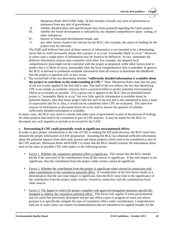Minnesota Rules 4410.0200, Subp. 58 that includes virtually any form of permission or assistance from any unit of government;

- II. whether detailed plans and specifications have been prepared regarding the future project;<br>III whether the future development is indicated by any adopted comprehensive plans, zoning
- whether the future development is indicated by any adopted comprehensive plans zoning, or other ordinances;
- IV. historic or forecasted development trends, and
- V. any other factors found to be relevant by the RGU, (for example, the status of funding for the project may be relevant).

The EQB staff believes that each of these sources of information is not intended to be a determining factor that by itself necessarily means that a project is or is not "reasonably likely to occur." However, in some cases a single piece of information may be found to be definitive. In fact, sometimes the different information sources may contradict each other. For example, the adopted local comprehensive plan might not be consistent with the project as proposed, while other factors tend to predict that it is likely to occur, presumably after the local comprehensive plan is amended. In general, the RGU is advised to synthesize available information from all sources to determine the likelihood that the project in question will, in fact, occur.

2. The second half of the test determines whether **"sufficiently detailed information is available about the project to contribute to the understanding of CPE."** Note: Minnesota Rules state that this part of the test is only applied if the first half is met. This half of the test reflects the fact that identifying CPE is not simply an academic exercise, but is a practical effort to predict potential environmental effects as accurately as possible. If in a given case it appears to the RGU that an identified future project is "reasonably likely to occur" but very little specific information is available about its potential impacts, then that future project fails this half of the test and is not considered to have a basis of expectation laid for it; thus, it would not be considered when CPE are evaluated. The same five sources of information as discussed above are to be used to answer the question of whether sufficiently detailed information is available.

In many cases, the RGU may need to consult with other units of government as part of the process of looking for other projects that need to be considered as part of CPE analysis. It may be useful for the RGU to document any such inquiries to include in its record for the EAW.

#### **c. Determining if CPE could potentially result in significant environmental effects**

In order to give proper consideration to the role of CPE in making the EIS need decision, the RGU must have obtained the proper information in EAW preparation. Assuming the RGU has obtained sufficient information about the potential impacts from other past, present and future projects which need to be considered as part of the CPE analyses, Minnesota Rules 4410.0200 11a states that the RGU should examine the information about each of the types of possible CPE with respect to the following factors:

- $\mathbf{r}^{\prime}$ Factor 1. Whether the cumulative potential effect is significant. This means that the RGU should decide if the sum total of the contributions from all the sources is significant. If the total impact is not significant, then the contribution from the project under review cannot be significant.
- Factor 2. Whether the contribution from the project is significant when viewed in connection with other contributions to the cumulative potential effect. If consideration of the first factor results in a determination that the sum total impact is significant, then the RGU must look to the significance of the contribution from the project under review, viewed in connection with the contributions from other sources.
- Factor 3. The degree to which the project complies with approved mitigation measures specifically designed to address the cumulative potential effect. This factor only applies if some governmental unit (or units) has previously developed and put into effect a plan or program of some sort whose purpose is to specifically mitigate the type of cumulative effect under consideration. Comprehensive land use or water plans can contain recommendations that are intended to be applied broadly for the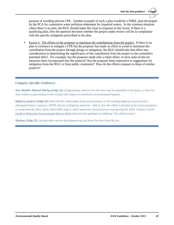purpose of avoiding adverse CPE. Another example of such a plan would be a TMDL plan developed by the PCA for cumulative water pollution abatement for impaired waters. In the common situation where there is no plan, the RGU should make this clear in response to this factor. If there is a qualifying plan, then the question becomes whether the project under review will be in compliance with the specific mitigation prescribed in the plan.

Factor 4. The efforts of the proposer to minimize the contributions from the project. If there is no plan in existence to mitigate a CPE but the proposer has made an effort to avoid or minimize the contribution from the project through design or mitigation, the RGU should take that effort into consideration in determining the significance of the contribution from the project to the cumulative potential effect. For example, has the proposer made only a token effort, or have state-of-the-art measures been incorporated into the analysis? Has the proposer been responsive to suggestions for mitigation from the RGU or from public comments? How do the efforts compare to those of similar projects?

## *Category Specific Guidance:*

*Non-Metallic Mineral Mining (Subp 12): If appropriate, discuss how the mine may be expanded in the future, or how the mine relates to past mining in the vicinity with respect to cumulative environmental impacts.*

*Highway projects (Subp 22): Describe the relationship of the present project to the existing highway network and to anticipated future roadways. NOTE: Review of highway networks – that is, how the whole is divided up for review purposes – is constrained by Minn. Rules 4410.1000, subp 4, which should be consulted prior to preparing the EAW. Chapter 2 of the Guide to Minnesota Environmental Review Rules also provides guidance on defining "the whole project."*

*Marinas (Subp 25): Include other marina development up and down the river from the site.*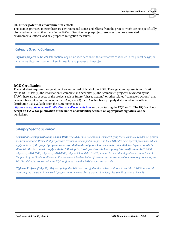#### **20. Other potential environmental effects**

This item is provided in case there are environmental issues and effects from the project which are not specifically discussed under any other items in the EAW. Describe the pre-project resources, the project-related environmental effects, and any proposed mitigation measures.

## *Category Specific Guidance:*

*Highway projects (Subp 22): Information may be included here about the alternatives considered in the project design; an alternative discussion location is item 6, need for and purpose of the project.*

## **RGU Certification**

The worksheet requires the signature of an authorized official of the RGU. The signature represents certification by the RGU that: (1) the information is complete and accurate; (2) the "complete" project is reviewed by the EAW; there are no aspects of the project such as future "phased actions" or other related "connected actions" that have not been taken into account in the EAW; and (3) the EAW has been properly distributed to the official distribution list, available from the EQB home page at

[http://www.eqb.state.mn.us/EnvRevGuidanceDocuments.htm,](http://www.eqb.state.mn.us/EnvRevGuidanceDocuments.htm) or by contacting the EQB staff. **The EQB will not accept an EAW for publication of the notice of availability without an appropriate signature on the worksheet.**

## *Category Specific Guidance:*

*Residential Development (Subp 19 and 19a): The RGU must use caution when certifying that a complete residential project has been reviewed. Residential projects are frequently developed in stages and the EQB rules have special provisions which apply to them. If the project proposer owns any additional contiguous land on which residential development would be allowable, the RGU must comply with the following EQB rule provisions before signing this certification: 4410.1000, subpart 4; 4410.2000, subpart 4; 4410.4300, subpart 19; and 4410.4400, subpart14. Additional guidance can be found in Chapter 2 of the Guide to Minnesota Environmental Review Rules. If there is any uncertainty about these requirements, the RGU is advised to consult with the EQB staff as early in the EAW process as possible.*

*Highway Projects (Subp 22): Before signing, the RGU must verify that the review conforms to part 4410.1000, subpart 4, regarding the division of "network" projects into segments for purposes of review; also see discussion at item 29.*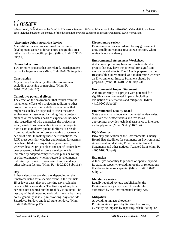## **Glossary**

Where noted, definitions can be found in Minnesota Statutes 116D and Minnesota Rules 4410.0200. Other definitions have been included based on the context of the document to provide guidance on the Environmental Review program.

## **Alternative Urban Areawide Review**

A substitute review process based on review of development scenarios for an entire geographic area rather than for a specific project. (Minn. R. 4410.3610 Subp 1)

## **Connected actions**

Two or more projects that are related, interdependent parts of a larger whole. (Minn. R. 4410.0200 Subp 9c)

## **Construction**

Any activity that directly alters the environment, excluding surveying or mapping. (Minn. R. 4410.0200 Subp 10)

## **Cumulative potential effects**

The effect on the environment that results from the incremental effects of a project in addition to other projects in the environmentally relevant area that might reasonably be expected to affect the same environmental resources, including future projects planned or for which a basis of expectation has been laid, regardless of who undertakes the projects or what jurisdictions have authority over the projects. Significant cumulative potential effects can result from individually minor projects taking place over a period of time. In making these determinations, the RGU must consider: whether applications for permits have been filed with any units of government; whether detailed project plans and specifications have been prepared; whether future development is indicated by adopted comprehensive plans or zoning or other ordinances; whether future development is indicated by historic or forecasted trends; and any other relevant factors. (Minn. R. 4410.0200 Subp11a.)

## **Day**

Either calendar or working day depending on the timeframe listed for a specific event. If the text lists 15 or fewer days, they are working days; calendar days are 16 or more days. The first day of any time period is not counted but the final day is counted. The last day of the time period ends with normal business hours, generally at 4:30 p.m. Working days exclude Saturdays, Sundays and legal state holidays. (Minn. R. 4410.0200 Subp 12)

## **Discretionary review**

Environmental review ordered by any government unit, usually in response to a citizen petition, where review is not mandatory.

## **Environmental Assessment Worksheet**

A document providing basic information about a project that may have the potential for significant environmental effects. The EAW is prepared by the Responsible Governmental Unit to determine whether an Environmental Impact Statement should be prepared. (Minn. R. 4410.0200 Subp 24)

## **Environmental Impact Statement**

A thorough study of a project with potential for significant environmental impacts, including evaluation of alternatives and mitigation. (Minn. R. 4410.0200 Subp 26)

## **Environmental Quality Board**

State agency that adopts environmental review rules, monitors their effectiveness and revises as appropriate; provides technical assistance to interpret and apply rules. (Minn. Stat. §116C.04)

## **EQB Monitor**

Biweekly publication of the Environmental Quality Board, lists deadlines for comments on Environmental Assessment Worksheets, Environmental Impact Statements and other notices. (Adapted from Minn. R. 4405.0100 Subp 6)

## **Expansion**

A facility's capability to produce or operate beyond its existing capacity, excluding repairs or renovations that do not increase capacity. (Minn. R. 4410.0200 Subp. 28)

## **Mandatory review**

Legally required review, established by the Environmental Quality Board through rules authorized by the Environmental Policy Act.

## **Mitigation**

- A. avoiding impacts altogether;
- B. minimizing impacts by limiting the project;
- C. rectifying impacts by repairing, rehabilitating, or